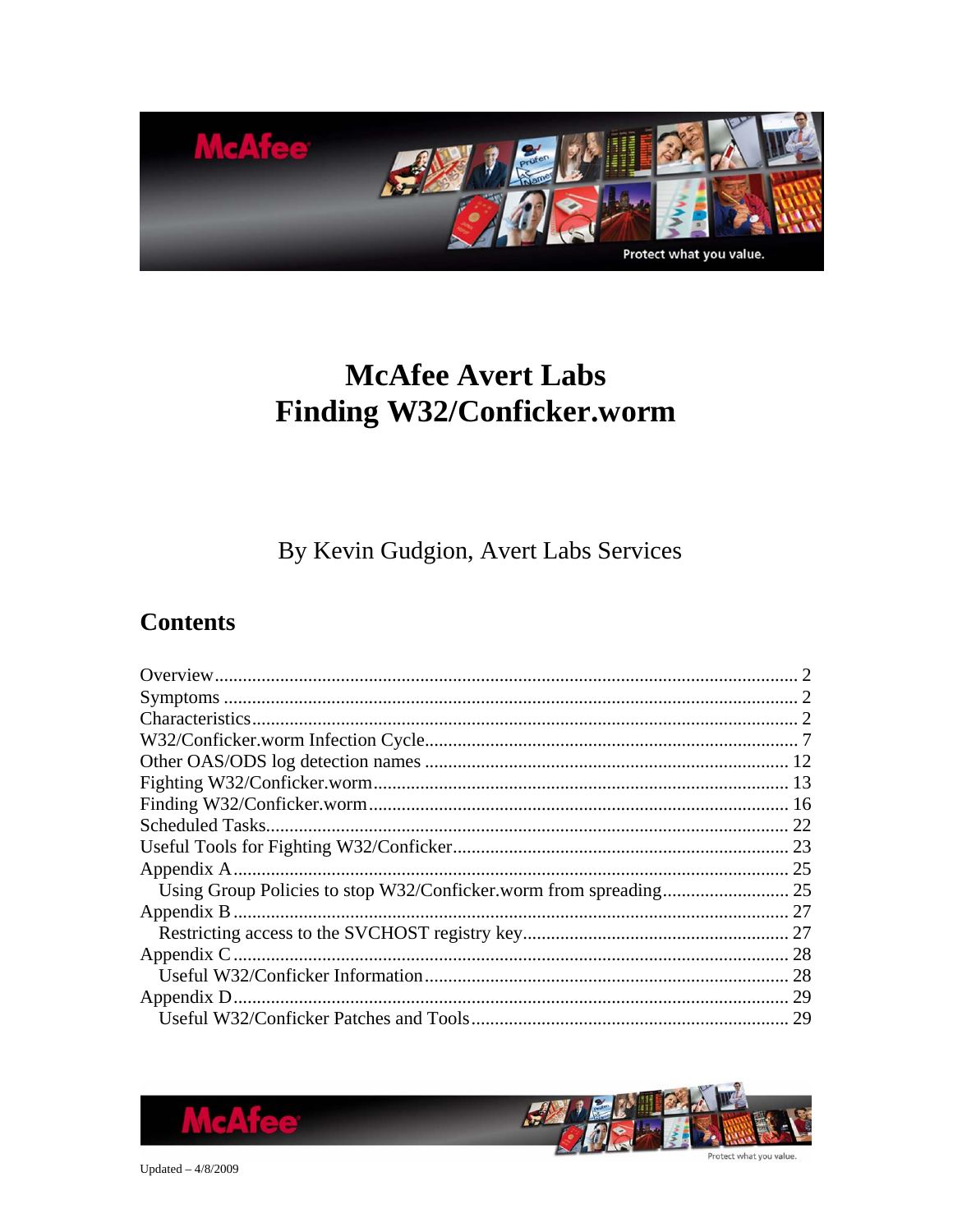

# **McAfee Avert Labs** Finding W32/Conficker.worm

By Kevin Gudgion, Avert Labs Services

## **Contents**

| 22 |
|----|
|    |
|    |
|    |
| 27 |
|    |
| 28 |
|    |
| 29 |
| 29 |



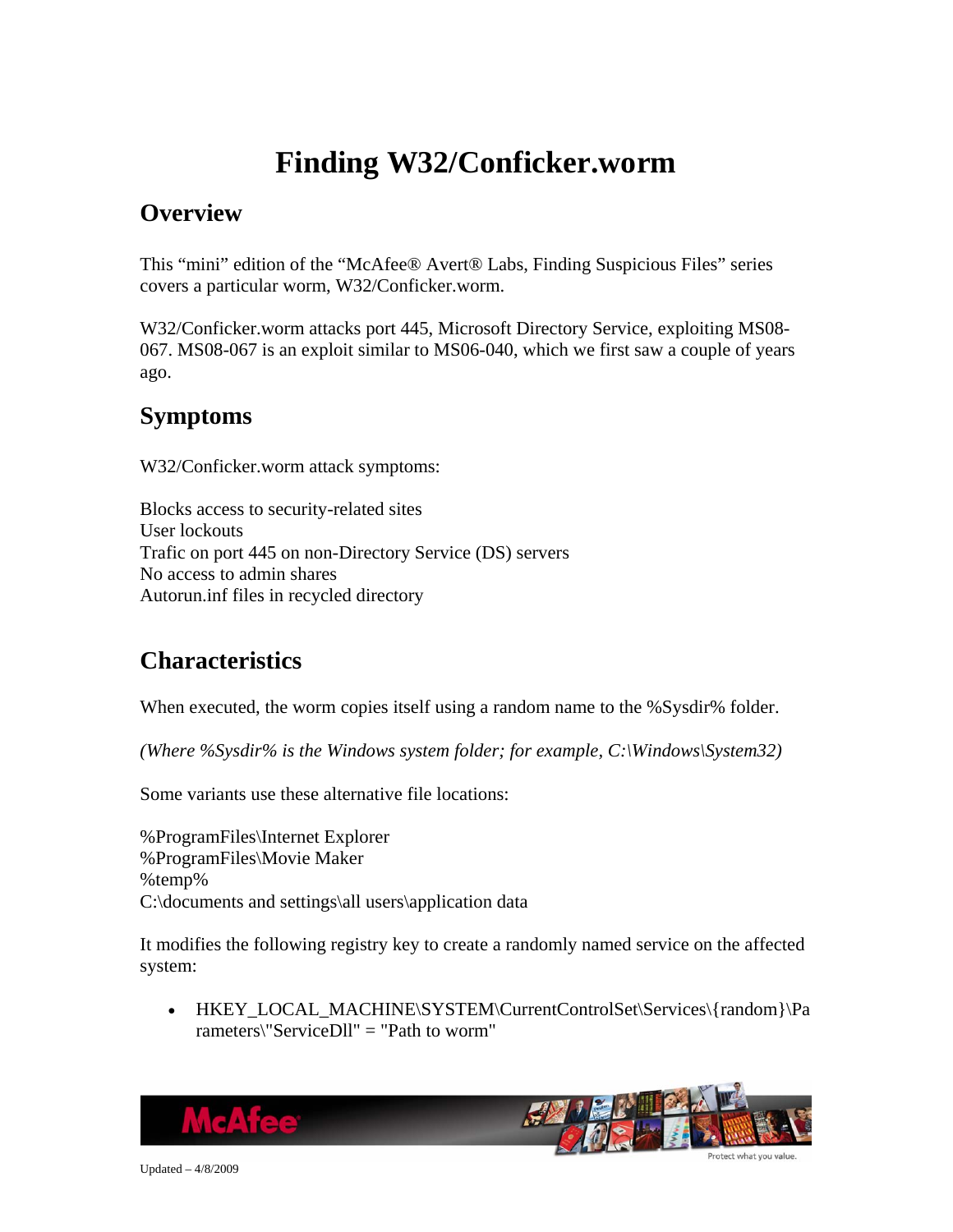# **Finding W32/Conficker.worm**

### <span id="page-1-0"></span>**Overview**

This "mini" edition of the "McAfee® Avert® Labs, Finding Suspicious Files" series covers a particular worm, W32/Conficker.worm.

W32/Conficker.worm attacks port 445, Microsoft Directory Service, exploiting MS08- 067. MS08-067 is an exploit similar to MS06-040, which we first saw a couple of years ago.

### **Symptoms**

W32/Conficker.worm attack symptoms:

Blocks access to security-related sites User lockouts Trafic on port 445 on non-Directory Service (DS) servers No access to admin shares Autorun.inf files in recycled directory

## **Characteristics**

When executed, the worm copies itself using a random name to the %Sysdir% folder.

*(Where %Sysdir% is the Windows system folder; for example, C:\Windows\System32)*

Some variants use these alternative file locations:

%ProgramFiles\Internet Explorer %ProgramFiles\Movie Maker %temp% C:\documents and settings\all users\application data

It modifies the following registry key to create a randomly named service on the affected system:

• HKEY\_LOCAL\_MACHINE\SYSTEM\CurrentControlSet\Services\{random}\Pa rameters\"ServiceDll" = "Path to worm"

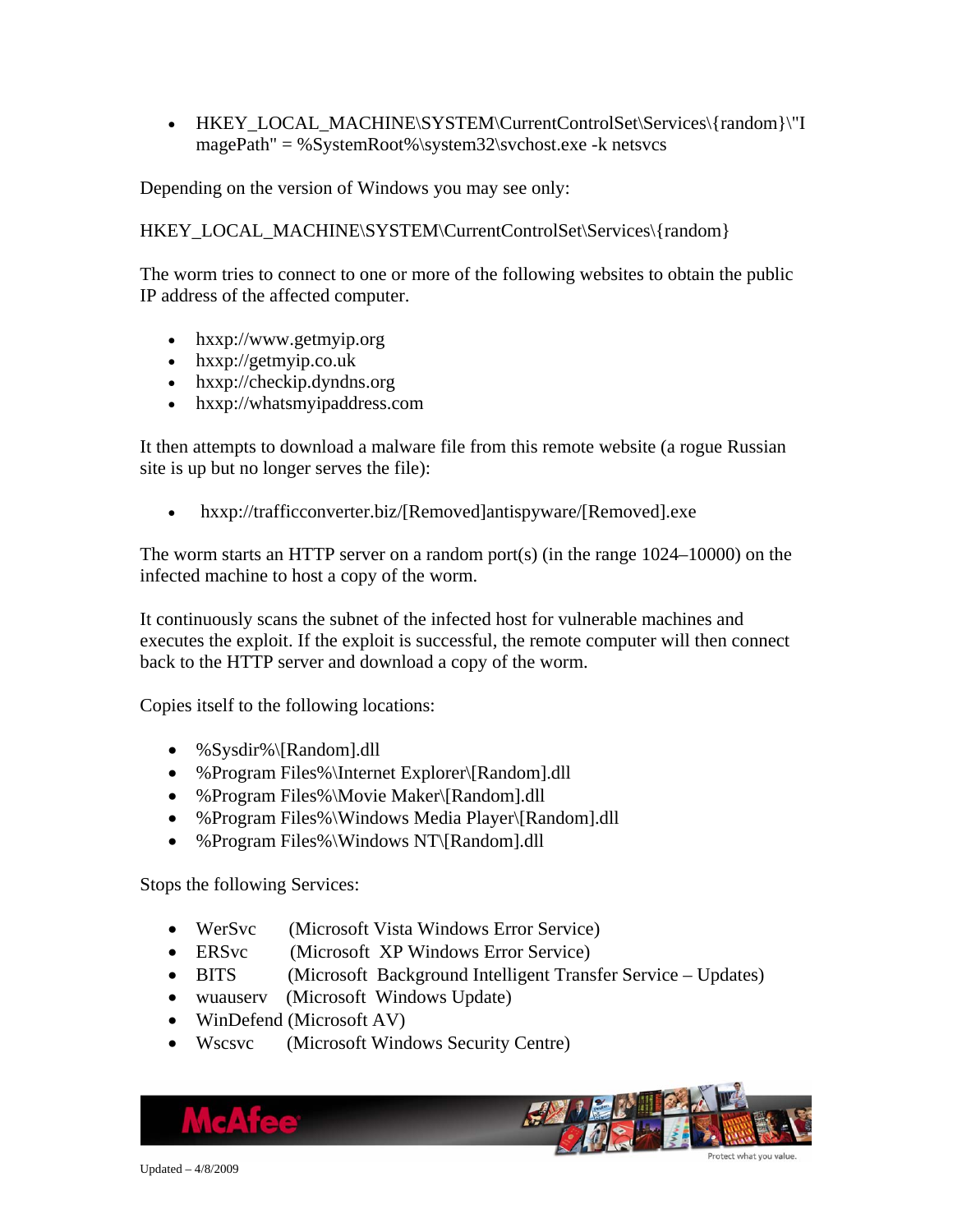• HKEY\_LOCAL\_MACHINE\SYSTEM\CurrentControlSet\Services\{random}\"I magePath" = %SystemRoot%\system32\svchost.exe -k netsvcs

Depending on the version of Windows you may see only:

HKEY\_LOCAL\_MACHINE\SYSTEM\CurrentControlSet\Services\{random}

The worm tries to connect to one or more of the following websites to obtain the public IP address of the affected computer.

- hxxp://www.getmyip.org
- hxxp://getmyip.co.uk
- hxxp://checkip.dyndns.org
- hxxp://whatsmyipaddress.com

It then attempts to download a malware file from this remote website (a rogue Russian site is up but no longer serves the file):

• hxxp://trafficconverter.biz/[Removed]antispyware/[Removed].exe

The worm starts an HTTP server on a random port(s) (in the range 1024–10000) on the infected machine to host a copy of the worm.

It continuously scans the subnet of the infected host for vulnerable machines and executes the exploit. If the exploit is successful, the remote computer will then connect back to the HTTP server and download a copy of the worm.

Copies itself to the following locations:

- %Sysdir%\[Random].dll
- %Program Files%\Internet Explorer\[Random].dll
- %Program Files%\Movie Maker\[Random].dll
- %Program Files%\Windows Media Player\[Random].dll
- % Program Files%\Windows NT\[Random].dll

Stops the following Services:

- WerSvc (Microsoft Vista Windows Error Service)
- ERSvc (Microsoft XP Windows Error Service)
- BITS (Microsoft Background Intelligent Transfer Service Updates)
- wuauserv (Microsoft Windows Update)
- WinDefend (Microsoft AV)
- Wscsvc (Microsoft Windows Security Centre)

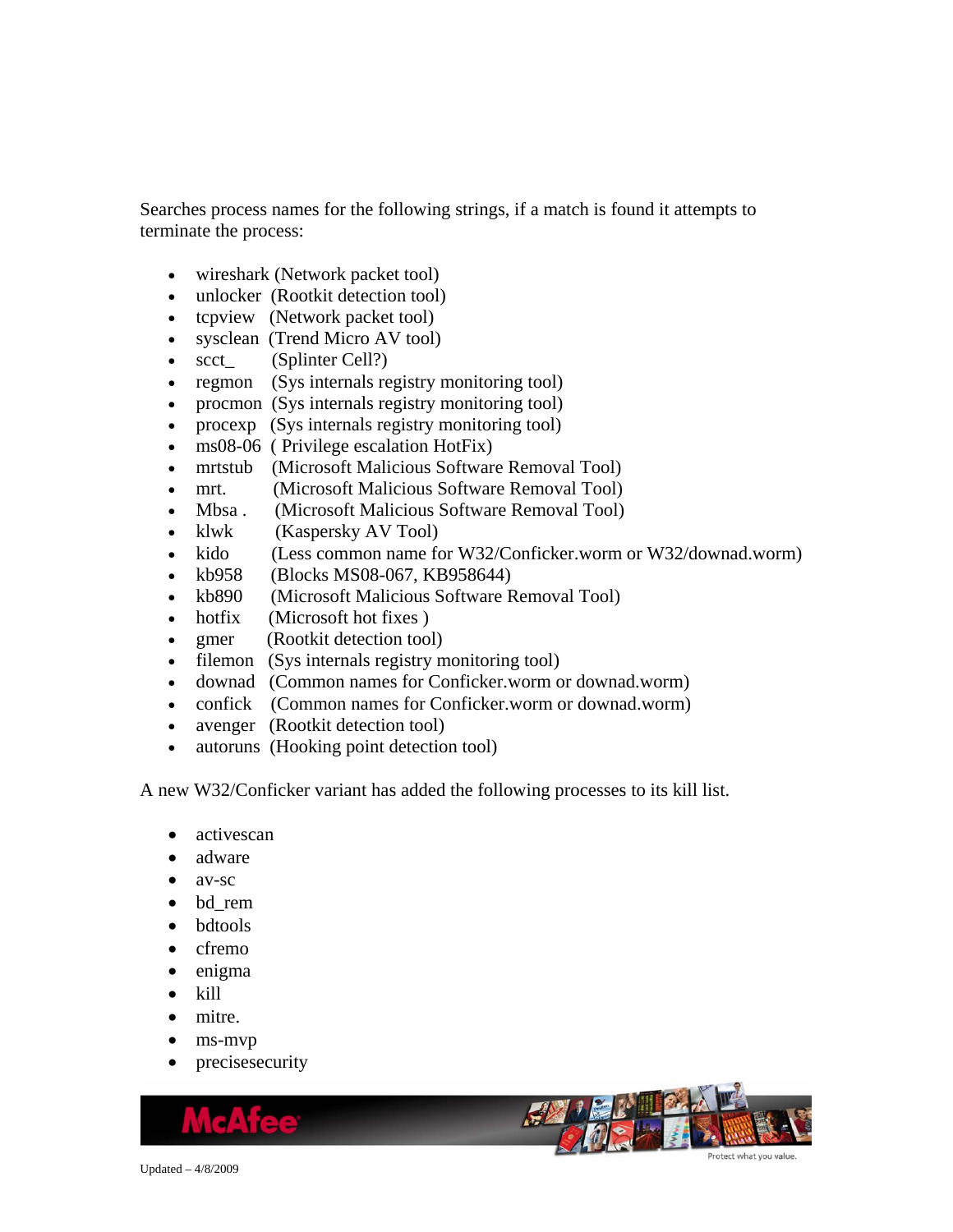Searches process names for the following strings, if a match is found it attempts to terminate the process:

- wireshark (Network packet tool)
- unlocker (Rootkit detection tool)
- tcpview (Network packet tool)
- sysclean (Trend Micro AV tool)
- scct\_ (Splinter Cell?)
- regmon (Sys internals registry monitoring tool)
- procmon (Sys internals registry monitoring tool)
- procexp (Sys internals registry monitoring tool)
- ms08-06 (Privilege escalation HotFix)
- mrtstub (Microsoft Malicious Software Removal Tool)
- mrt. (Microsoft Malicious Software Removal Tool)
- Mbsa . (Microsoft Malicious Software Removal Tool)
- klwk (Kaspersky AV Tool)
- kido (Less common name for W32/Conficker.worm or W32/downad.worm)
- kb958 (Blocks MS08-067, KB958644)
- kb890 (Microsoft Malicious Software Removal Tool)
- hotfix (Microsoft hot fixes)
- gmer (Rootkit detection tool)
- filemon (Sys internals registry monitoring tool)
- downad (Common names for Conficker.worm or downad.worm)
- confick (Common names for Conficker.worm or downad.worm)
- avenger (Rootkit detection tool)
- autoruns (Hooking point detection tool)

A new W32/Conficker variant has added the following processes to its kill list.

- activescan
- adware
- av-sc
- bd\_rem
- bdtools
- cfremo
- enigma
- kill
- mitre.
- ms-mvp
- precisesecurity

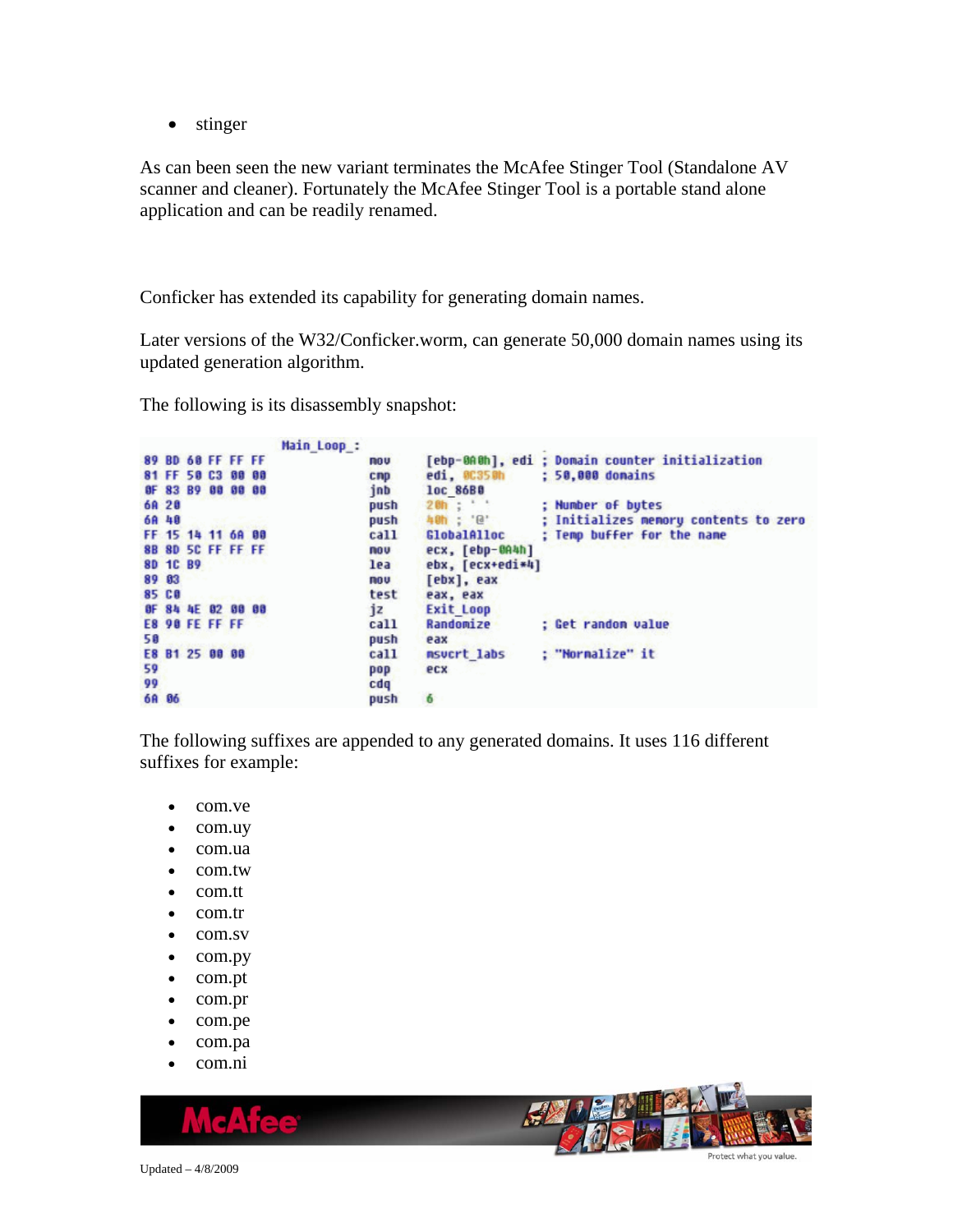• stinger

As can been seen the new variant terminates the McAfee Stinger Tool (Standalone AV scanner and cleaner). Fortunately the McAfee Stinger Tool is a portable stand alone application and can be readily renamed.

Conficker has extended its capability for generating domain names.

Later versions of the W32/Conficker.worm, can generate 50,000 domain names using its updated generation algorithm.

The following is its disassembly snapshot:

```
Main_Loop_:
89 BD 60 FF FF FF
                                 nou
                                          [ebp-0A0h], edi ; Domain counter initialization
81 FF 50 C3 00 00
                                          edi, 00350h
                                                           ; 50,000 domains
                                 cmpOF 83 B9 00 00 00
                                 inb
                                          1oc 86BB
                                         20h ; e<br>40h ; e6A 28
                                 push
                                                           ; Number of bytes
                                                           ; Initializes memory contents to zero
6A 48
                                 push
                                                           ; Temp buffer for the name
FF 15 14 11 68 88
                                          GlobalAlloc
                                 ca11ecx, [ebp-0A4h]<br>ebx, [ecx+edi*4]
8B 8D 5C FF FF FF
                                 nou
8D 1C B9
                                 lea
89 83
                                 nov
                                          [ebx], eax
85 CO
                                 test
                                          eax, eax
OF 84 4E 02 00 00
                                          Exit Loop
                                 jzE8 90 FE FF FF
                                 call
                                          Randomize
                                                           ; Get randon value
50
                                 push
                                          eax
E8 B1 25 00 00
                                          nsucrt labs
                                                           : "Normalize" it
                                 call
59
                                 pop
                                          ecx
99
                                 cdq
6A 06
                                 push
                                          6
```
The following suffixes are appended to any generated domains. It uses 116 different suffixes for example:

- com.ve
- com.uy
- com.ua
- com.tw
- com.tt
- com.tr
- com.sv
- com.py
- com.pt
- com.pr
- com.pe
- com.pa
- com.ni

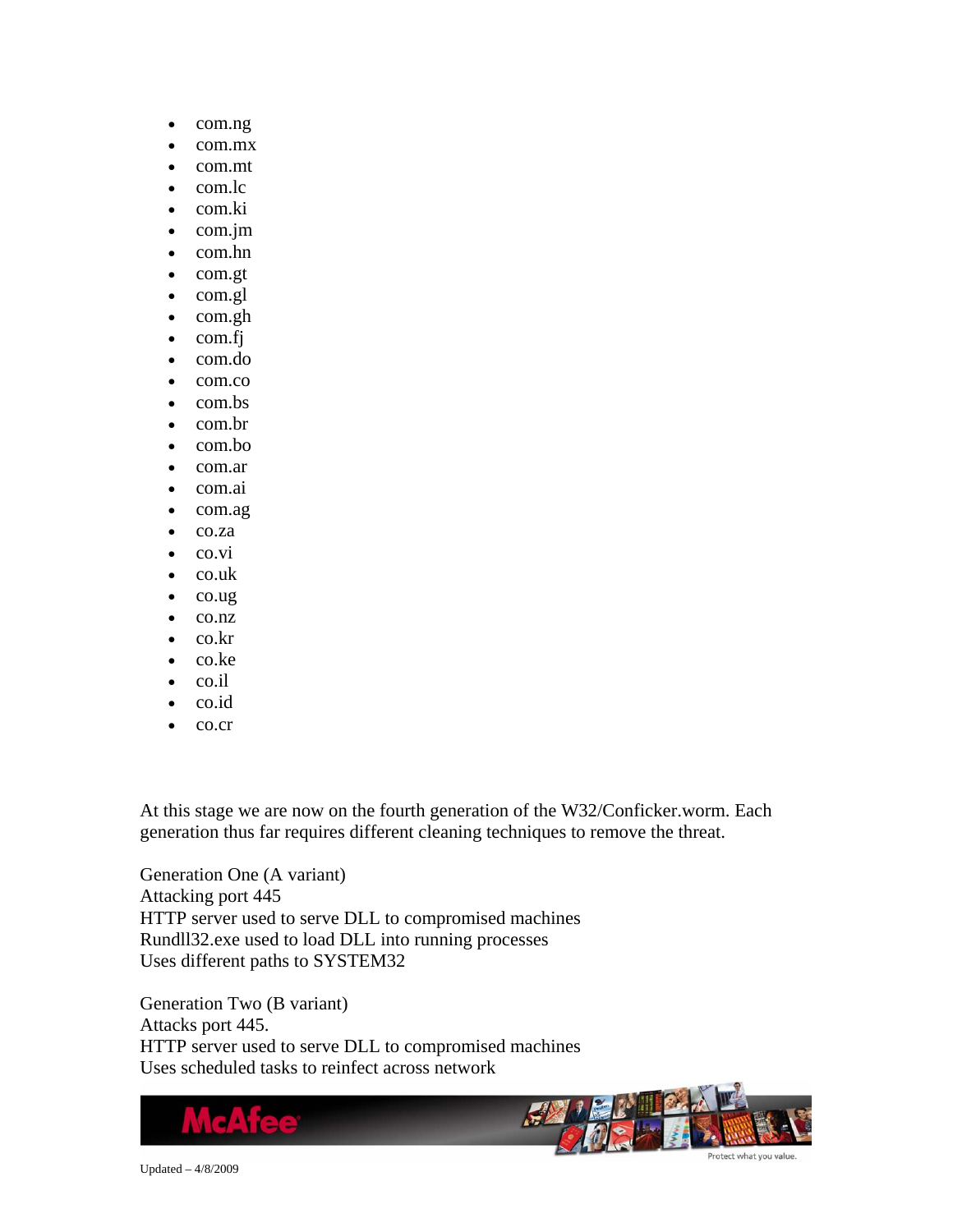- com.ng
- com.mx
- com.mt
- com.lc
- com.ki
- com.jm
- com.hn
- com.gt
- com.gl
- com.gh
- com.fj
- com.do
- com.co
- com.bs
- com.br
- com.bo
- com.ar
- com.ai
- com.ag
- co.za
- co.vi
- co.uk
- co.ug
- co.nz
- co.kr
- co.ke
- co.il
- co.id
- co.cr

At this stage we are now on the fourth generation of the W32/Conficker.worm. Each generation thus far requires different cleaning techniques to remove the threat.

Generation One (A variant) Attacking port 445 HTTP server used to serve DLL to compromised machines Rundll32.exe used to load DLL into running processes Uses different paths to SYSTEM32

Generation Two (B variant) Attacks port 445. HTTP server used to serve DLL to compromised machines Uses scheduled tasks to reinfect across network

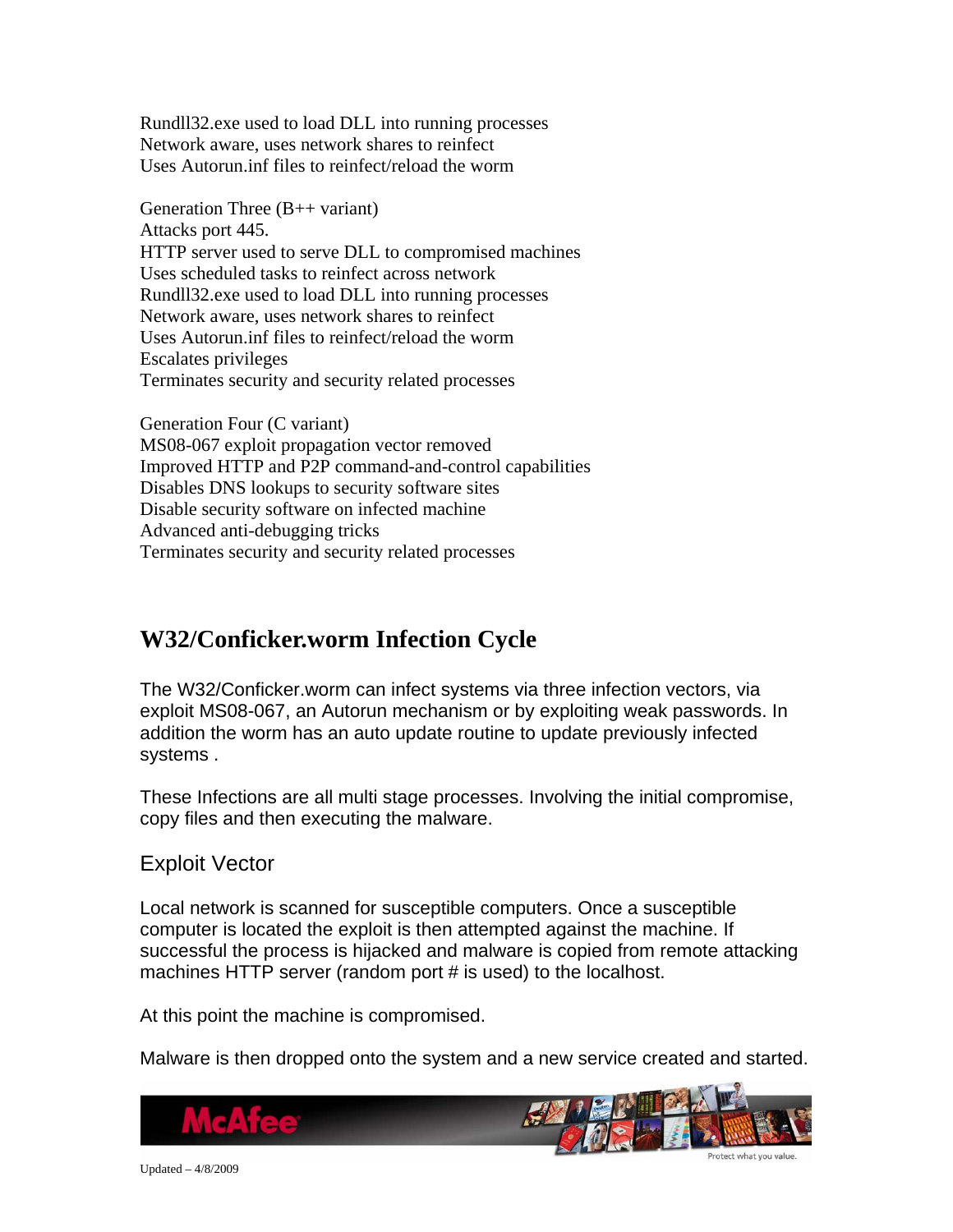<span id="page-6-0"></span>Rundll32.exe used to load DLL into running processes Network aware, uses network shares to reinfect Uses Autorun.inf files to reinfect/reload the worm

Generation Three (B++ variant) Attacks port 445. HTTP server used to serve DLL to compromised machines Uses scheduled tasks to reinfect across network Rundll32.exe used to load DLL into running processes Network aware, uses network shares to reinfect Uses Autorun.inf files to reinfect/reload the worm Escalates privileges Terminates security and security related processes

Generation Four (C variant) MS08-067 exploit propagation vector removed Improved HTTP and P2P command-and-control capabilities Disables DNS lookups to security software sites Disable security software on infected machine Advanced anti-debugging tricks Terminates security and security related processes

### **W32/Conficker.worm Infection Cycle**

The W32/Conficker.worm can infect systems via three infection vectors, via exploit MS08-067, an Autorun mechanism or by exploiting weak passwords. In addition the worm has an auto update routine to update previously infected systems .

These Infections are all multi stage processes. Involving the initial compromise, copy files and then executing the malware.

### Exploit Vector

Local network is scanned for susceptible computers. Once a susceptible computer is located the exploit is then attempted against the machine. If successful the process is hijacked and malware is copied from remote attacking machines HTTP server (random port # is used) to the localhost.

At this point the machine is compromised.

Malware is then dropped onto the system and a new service created and started.

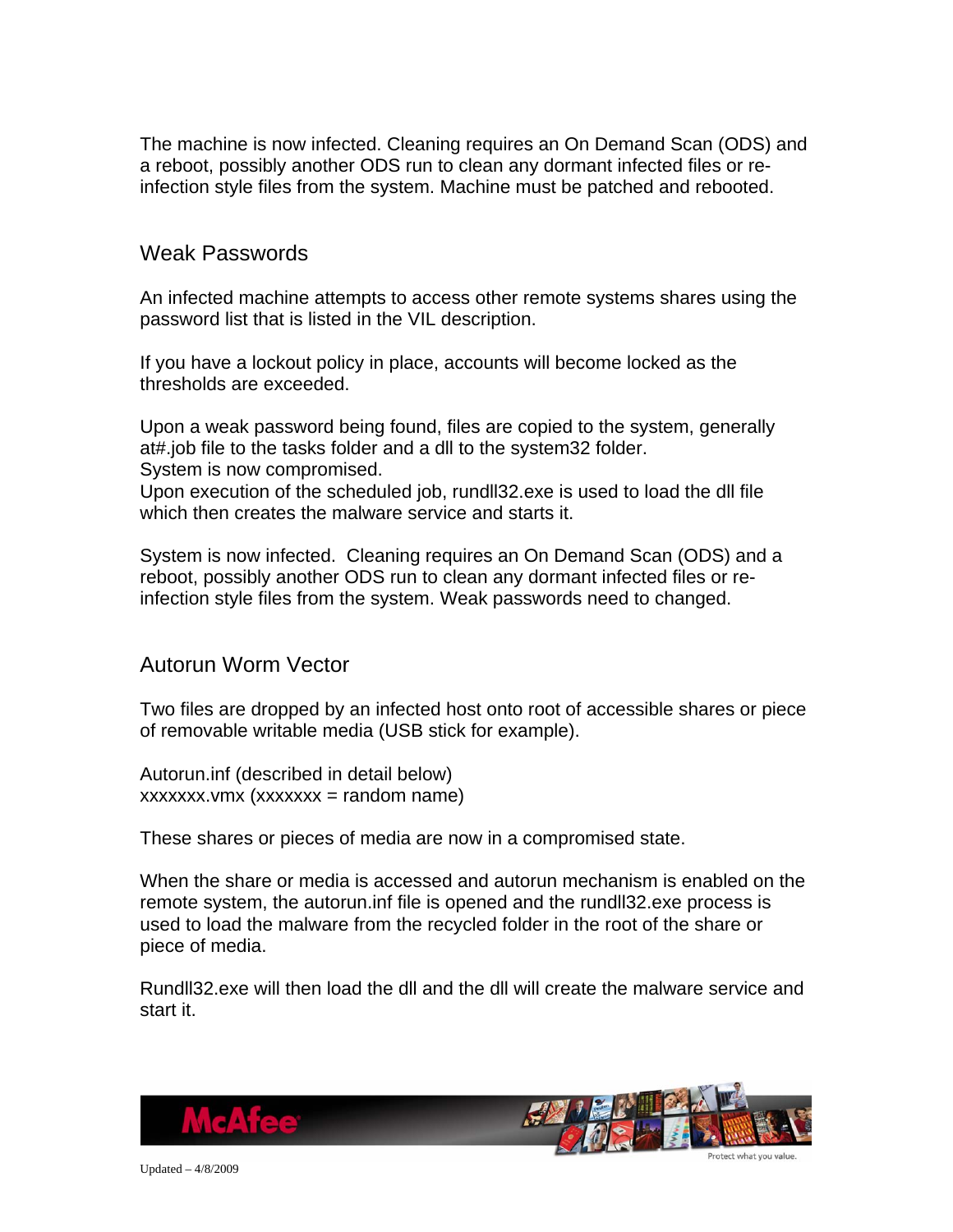The machine is now infected. Cleaning requires an On Demand Scan (ODS) and a reboot, possibly another ODS run to clean any dormant infected files or reinfection style files from the system. Machine must be patched and rebooted.

#### Weak Passwords

An infected machine attempts to access other remote systems shares using the password list that is listed in the VIL description.

If you have a lockout policy in place, accounts will become locked as the thresholds are exceeded.

Upon a weak password being found, files are copied to the system, generally at#.job file to the tasks folder and a dll to the system32 folder. System is now compromised.

Upon execution of the scheduled job, rundll32.exe is used to load the dll file which then creates the malware service and starts it.

System is now infected. Cleaning requires an On Demand Scan (ODS) and a reboot, possibly another ODS run to clean any dormant infected files or reinfection style files from the system. Weak passwords need to changed.

#### Autorun Worm Vector

Two files are dropped by an infected host onto root of accessible shares or piece of removable writable media (USB stick for example).

Autorun.inf (described in detail below)  $xxxxxx.vmx (xxxxxx = random name)$ 

These shares or pieces of media are now in a compromised state.

When the share or media is accessed and autorun mechanism is enabled on the remote system, the autorun.inf file is opened and the rundll32.exe process is used to load the malware from the recycled folder in the root of the share or piece of media.

Rundll32.exe will then load the dll and the dll will create the malware service and start it.



Updated – 4/8/2009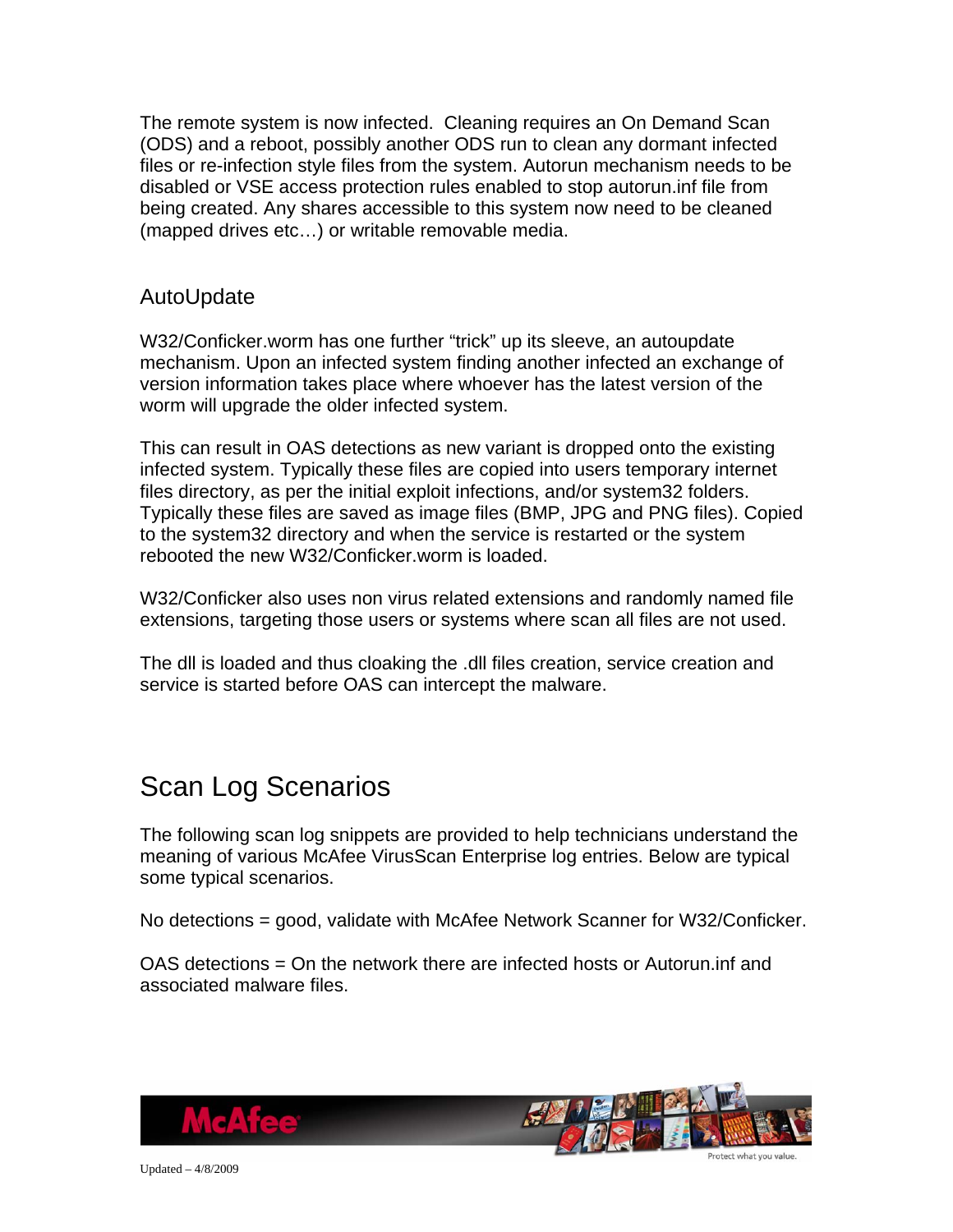The remote system is now infected. Cleaning requires an On Demand Scan (ODS) and a reboot, possibly another ODS run to clean any dormant infected files or re-infection style files from the system. Autorun mechanism needs to be disabled or VSE access protection rules enabled to stop autorun.inf file from being created. Any shares accessible to this system now need to be cleaned (mapped drives etc…) or writable removable media.

#### AutoUpdate

W32/Conficker.worm has one further "trick" up its sleeve, an autoupdate mechanism. Upon an infected system finding another infected an exchange of version information takes place where whoever has the latest version of the worm will upgrade the older infected system.

This can result in OAS detections as new variant is dropped onto the existing infected system. Typically these files are copied into users temporary internet files directory, as per the initial exploit infections, and/or system32 folders. Typically these files are saved as image files (BMP, JPG and PNG files). Copied to the system32 directory and when the service is restarted or the system rebooted the new W32/Conficker.worm is loaded.

W32/Conficker also uses non virus related extensions and randomly named file extensions, targeting those users or systems where scan all files are not used.

The dll is loaded and thus cloaking the .dll files creation, service creation and service is started before OAS can intercept the malware.

## Scan Log Scenarios

The following scan log snippets are provided to help technicians understand the meaning of various McAfee VirusScan Enterprise log entries. Below are typical some typical scenarios.

No detections = good, validate with McAfee Network Scanner for W32/Conficker.

OAS detections = On the network there are infected hosts or Autorun.inf and associated malware files.



Updated – 4/8/2009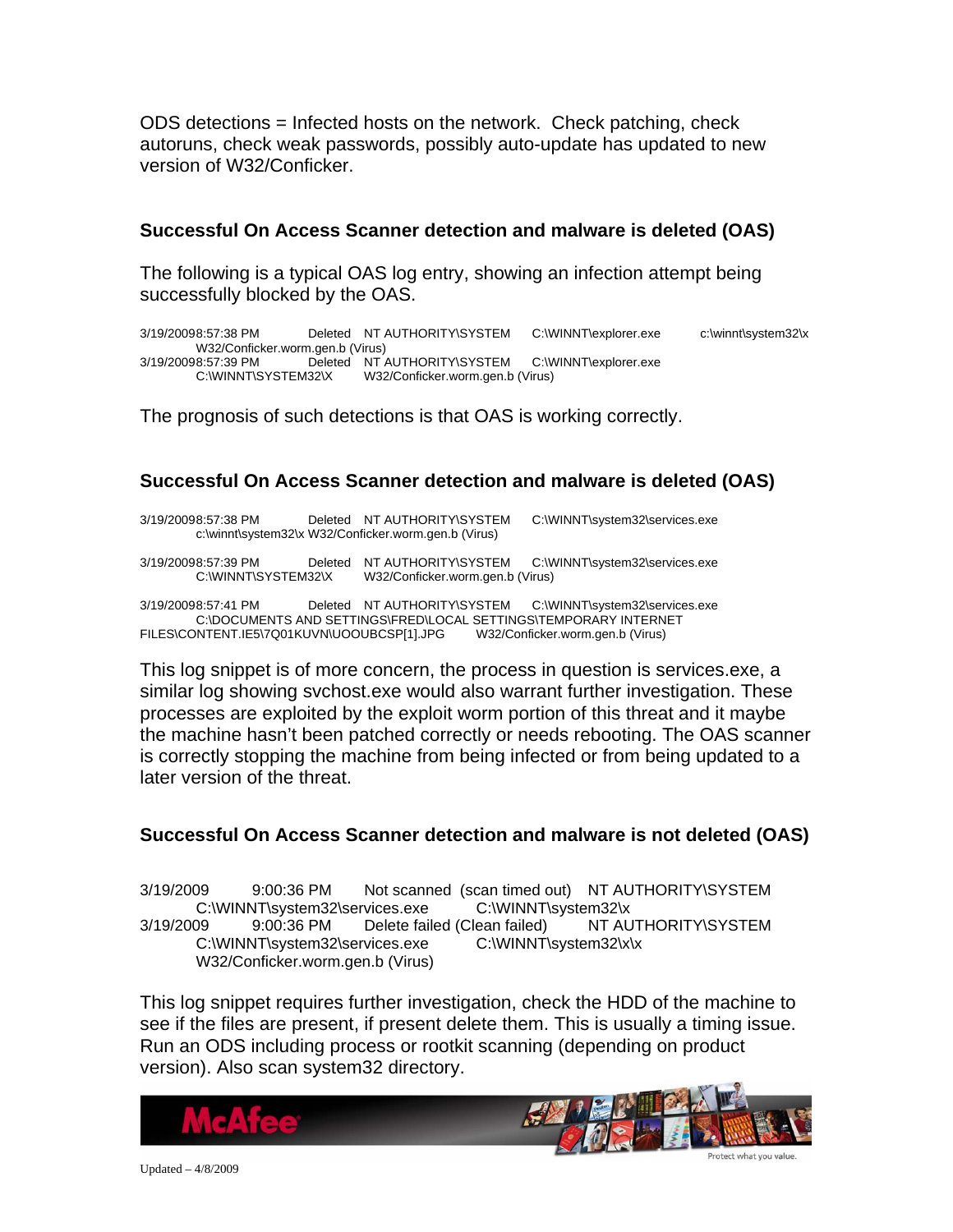ODS detections = Infected hosts on the network. Check patching, check autoruns, check weak passwords, possibly auto-update has updated to new version of W32/Conficker.

#### **Successful On Access Scanner detection and malware is deleted (OAS)**

The following is a typical OAS log entry, showing an infection attempt being successfully blocked by the OAS.

3/19/2009 8:57:38 PM Deleted NT AUTHORITY\SYSTEM C:\WINNT\explorer.exe c:\winnt\system32\x W32/Conficker.worm.gen.b (Virus)<br>3/19/20098:57:39 PM Deleted NT A Deleted NT AUTHORITY\SYSTEM C:\WINNT\explorer.exe C:\WINNT\SYSTEM32\X W32/Conficker.worm.gen.b (Virus)

The prognosis of such detections is that OAS is working correctly.

#### **Successful On Access Scanner detection and malware is deleted (OAS)**

3/19/2009 8:57:38 PM Deleted NT AUTHORITY\SYSTEM C:\WINNT\system32\services.exe c:\winnt\system32\x W32/Conficker.worm.gen.b (Virus)

3/19/20098:57:39 PM Deleted NT AUTHORITY\SYSTEM C:\WINNT\system32\services.exe<br>C:\WINNT\SYSTEM32\X W32/Conficker.worm.gen.b (Virus) W32/Conficker.worm.gen.b (Virus)

3/19/2009 8:57:41 PM Deleted NT AUTHORITY\SYSTEM C:\WINNT\system32\services.exe C:\DOCUMENTS AND SETTINGS\FRED\LOCAL SETTINGS\TEMPORARY INTERNET<br>NTENT.IE5\7Q01KUVN\UOOUBCSP[1].JPG W32/Conficker.worm.gen.b (Virus) FILES\CONTENT.IE5\7Q01KUVN\UOOUBCSP[1].JPG

This log snippet is of more concern, the process in question is services.exe, a similar log showing svchost.exe would also warrant further investigation. These processes are exploited by the exploit worm portion of this threat and it maybe the machine hasn't been patched correctly or needs rebooting. The OAS scanner is correctly stopping the machine from being infected or from being updated to a later version of the threat.

#### **Successful On Access Scanner detection and malware is not deleted (OAS)**

3/19/2009 9:00:36 PM Not scanned (scan timed out) NT AUTHORITY\SYSTEM C:\WINNT\system32\services.exe C:\WINNT\system32\x 3/19/2009 9:00:36 PM Delete failed (Clean failed) NT AUTHORITY\SYSTEM C:\WINNT\system32\services.exe C:\WINNT\system32\x\x W32/Conficker.worm.gen.b (Virus)

This log snippet requires further investigation, check the HDD of the machine to see if the files are present, if present delete them. This is usually a timing issue. Run an ODS including process or rootkit scanning (depending on product version). Also scan system32 directory.

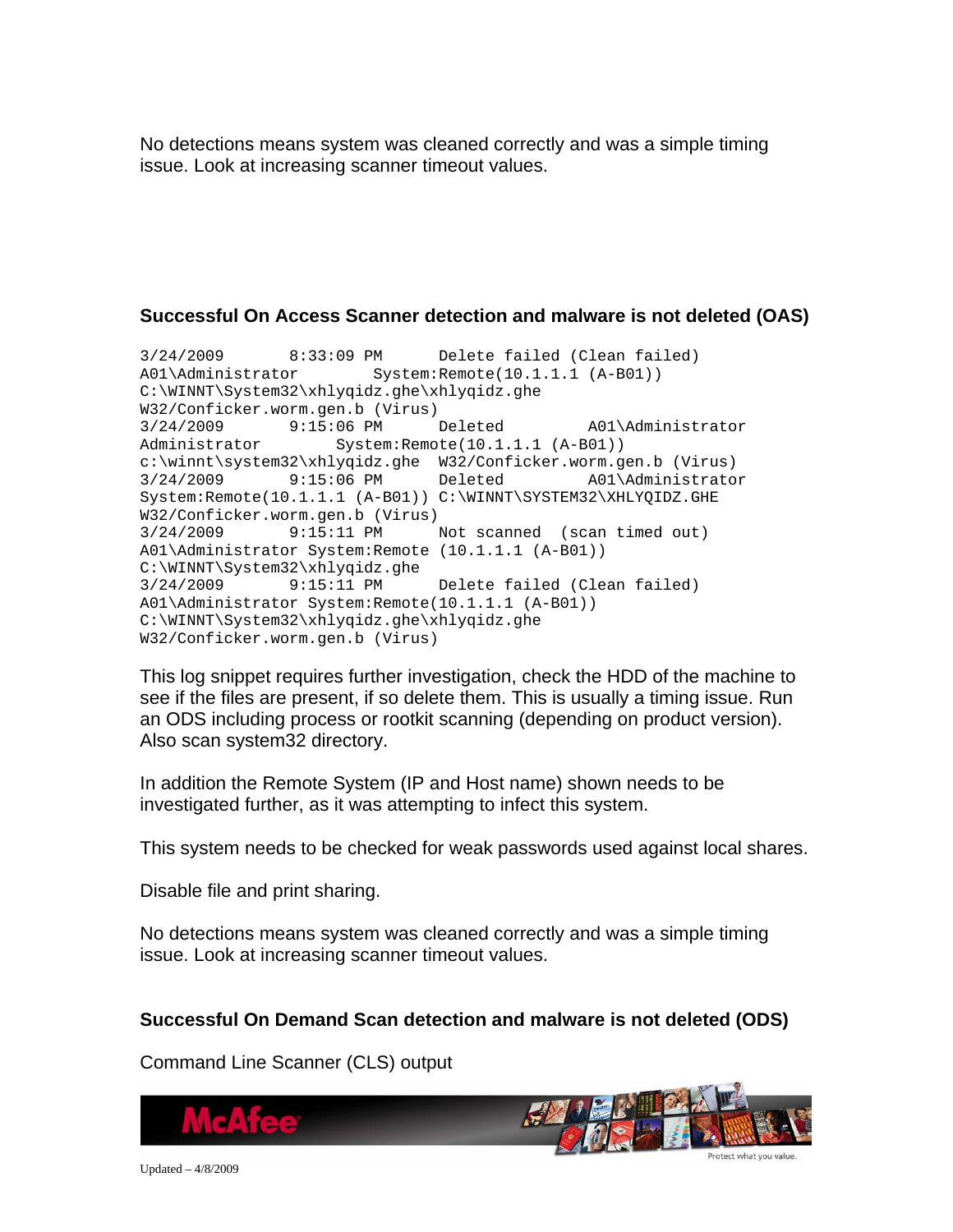No detections means system was cleaned correctly and was a simple timing issue. Look at increasing scanner timeout values.

#### **Successful On Access Scanner detection and malware is not deleted (OAS)**

3/24/2009 8:33:09 PM Delete failed (Clean failed) A01\Administrator System:Remote(10.1.1.1 (A-B01)) C:\WINNT\System32\xhlyqidz.ghe\xhlyqidz.ghe W32/Conficker.worm.gen.b (Virus) 3/24/2009 9:15:06 PM Deleted A01\Administrator Administrator System:Remote(10.1.1.1 (A-B01)) c:\winnt\system32\xhlyqidz.ghe W32/Conficker.worm.gen.b (Virus) 3/24/2009 9:15:06 PM Deleted A01\Administrator System:Remote(10.1.1.1 (A-B01)) C:\WINNT\SYSTEM32\XHLYQIDZ.GHE W32/Conficker.worm.gen.b (Virus) 3/24/2009 9:15:11 PM Not scanned (scan timed out) A01\Administrator System:Remote (10.1.1.1 (A-B01)) C:\WINNT\System32\xhlyqidz.ghe 3/24/2009 9:15:11 PM Delete failed (Clean failed) A01\Administrator System:Remote(10.1.1.1 (A-B01)) C:\WINNT\System32\xhlyqidz.ghe\xhlyqidz.ghe W32/Conficker.worm.gen.b (Virus)

This log snippet requires further investigation, check the HDD of the machine to see if the files are present, if so delete them. This is usually a timing issue. Run an ODS including process or rootkit scanning (depending on product version). Also scan system32 directory.

In addition the Remote System (IP and Host name) shown needs to be investigated further, as it was attempting to infect this system.

This system needs to be checked for weak passwords used against local shares.

Disable file and print sharing.

No detections means system was cleaned correctly and was a simple timing issue. Look at increasing scanner timeout values.

#### **Successful On Demand Scan detection and malware is not deleted (ODS)**

Command Line Scanner (CLS) output

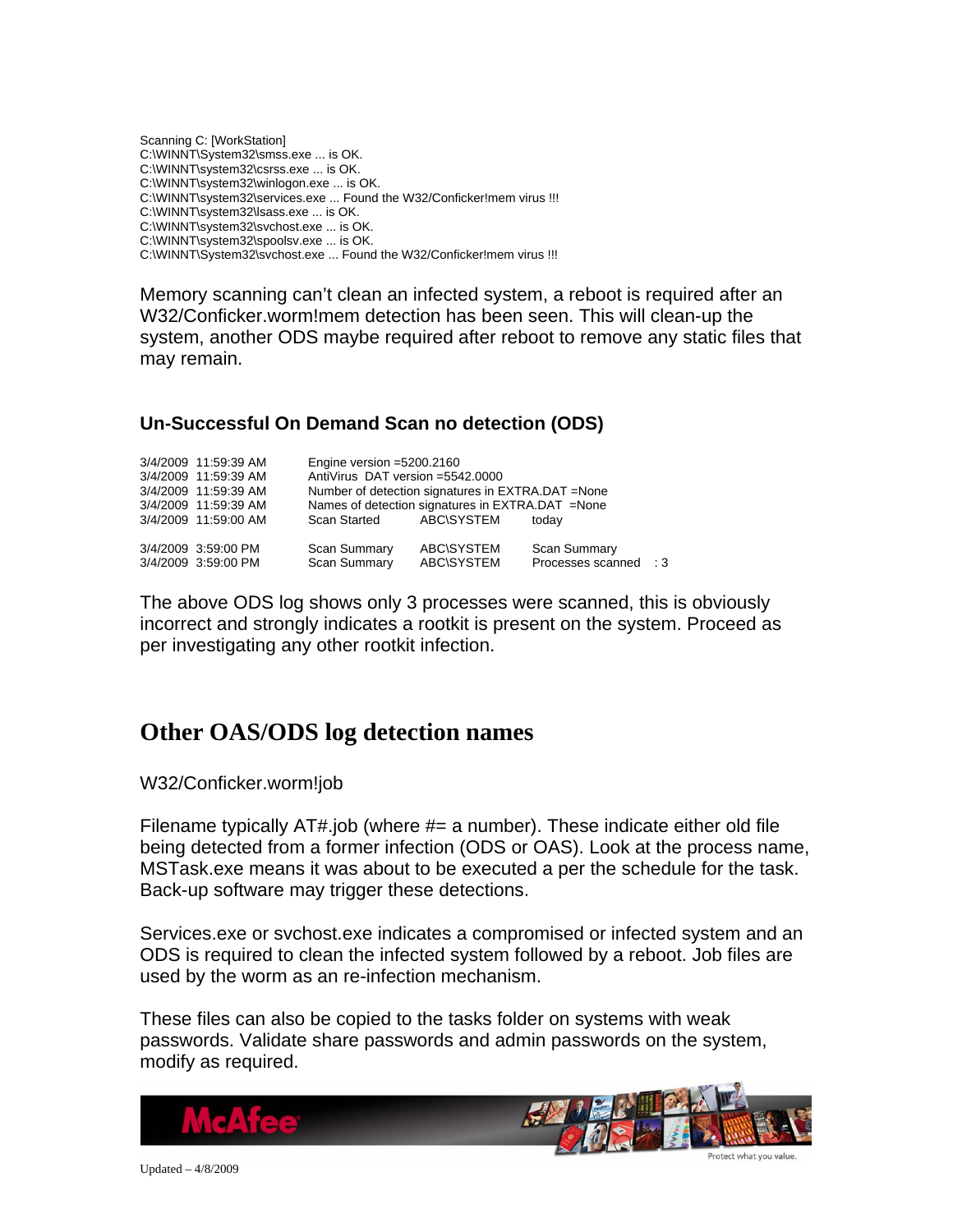<span id="page-11-0"></span>Scanning C: [WorkStation] C:\WINNT\System32\smss.exe ... is OK. C:\WINNT\system32\csrss.exe ... is OK. C:\WINNT\system32\winlogon.exe ... is OK. C:\WINNT\system32\services.exe ... Found the W32/Conficker!mem virus !!! C:\WINNT\system32\lsass.exe ... is OK. C:\WINNT\system32\svchost.exe ... is OK. C:\WINNT\system32\spoolsv.exe ... is OK. C:\WINNT\System32\svchost.exe ... Found the W32/Conficker!mem virus !!!

Memory scanning can't clean an infected system, a reboot is required after an W32/Conficker.worm!mem detection has been seen. This will clean-up the system, another ODS maybe required after reboot to remove any static files that may remain.

#### **Un-Successful On Demand Scan no detection (ODS)**

| 3/4/2009 11:59:39 AM | Engine version $=5200.2160$       |                                                    |                     |           |
|----------------------|-----------------------------------|----------------------------------------------------|---------------------|-----------|
| 3/4/2009 11:59:39 AM | AntiVirus DAT version = 5542,0000 |                                                    |                     |           |
| 3/4/2009 11:59:39 AM |                                   | Number of detection signatures in EXTRA.DAT = None |                     |           |
| 3/4/2009 11:59:39 AM |                                   | Names of detection signatures in EXTRA.DAT = None  |                     |           |
| 3/4/2009 11:59:00 AM | Scan Started ABC\SYSTEM           |                                                    | todav               |           |
| 3/4/2009 3:59:00 PM  | <b>Scan Summary</b>               | ABC\SYSTEM                                         | <b>Scan Summary</b> |           |
| 3/4/2009 3:59:00 PM  | <b>Scan Summary</b>               | ABC\SYSTEM                                         | Processes scanned   | $\cdot$ 3 |

The above ODS log shows only 3 processes were scanned, this is obviously incorrect and strongly indicates a rootkit is present on the system. Proceed as per investigating any other rootkit infection.

### **Other OAS/ODS log detection names**

W32/Conficker.worm!job

Filename typically  $AT\#$  job (where  $\#$  a number). These indicate either old file being detected from a former infection (ODS or OAS). Look at the process name, MSTask.exe means it was about to be executed a per the schedule for the task. Back-up software may trigger these detections.

Services.exe or svchost.exe indicates a compromised or infected system and an ODS is required to clean the infected system followed by a reboot. Job files are used by the worm as an re-infection mechanism.

These files can also be copied to the tasks folder on systems with weak passwords. Validate share passwords and admin passwords on the system, modify as required.



Updated – 4/8/2009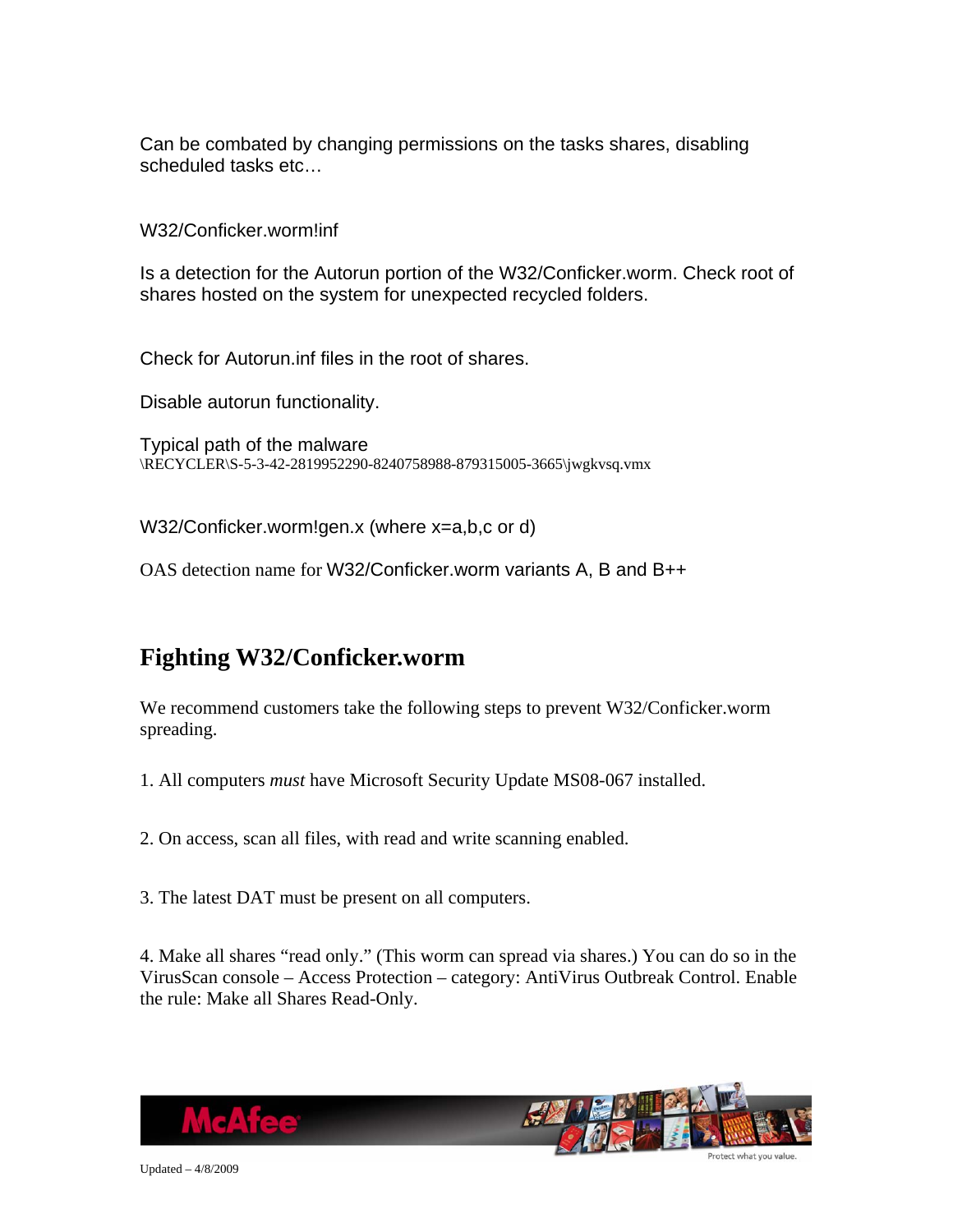<span id="page-12-0"></span>Can be combated by changing permissions on the tasks shares, disabling scheduled tasks etc…

W32/Conficker.worm!inf

Is a detection for the Autorun portion of the W32/Conficker.worm. Check root of shares hosted on the system for unexpected recycled folders.

Check for Autorun.inf files in the root of shares.

Disable autorun functionality.

Typical path of the malware \RECYCLER\S-5-3-42-2819952290-8240758988-879315005-3665\jwgkvsq.vmx

W32/Conficker.worm!gen.x (where x=a,b,c or d)

OAS detection name for W32/Conficker.worm variants A, B and B++

### **Fighting W32/Conficker.worm**

We recommend customers take the following steps to prevent W32/Conficker.worm spreading.

1. All computers *must* have Microsoft Security Update MS08-067 installed.

2. On access, scan all files, with read and write scanning enabled.

3. The latest DAT must be present on all computers.

4. Make all shares "read only." (This worm can spread via shares.) You can do so in the VirusScan console – Access Protection – category: AntiVirus Outbreak Control. Enable the rule: Make all Shares Read-Only.



Updated – 4/8/2009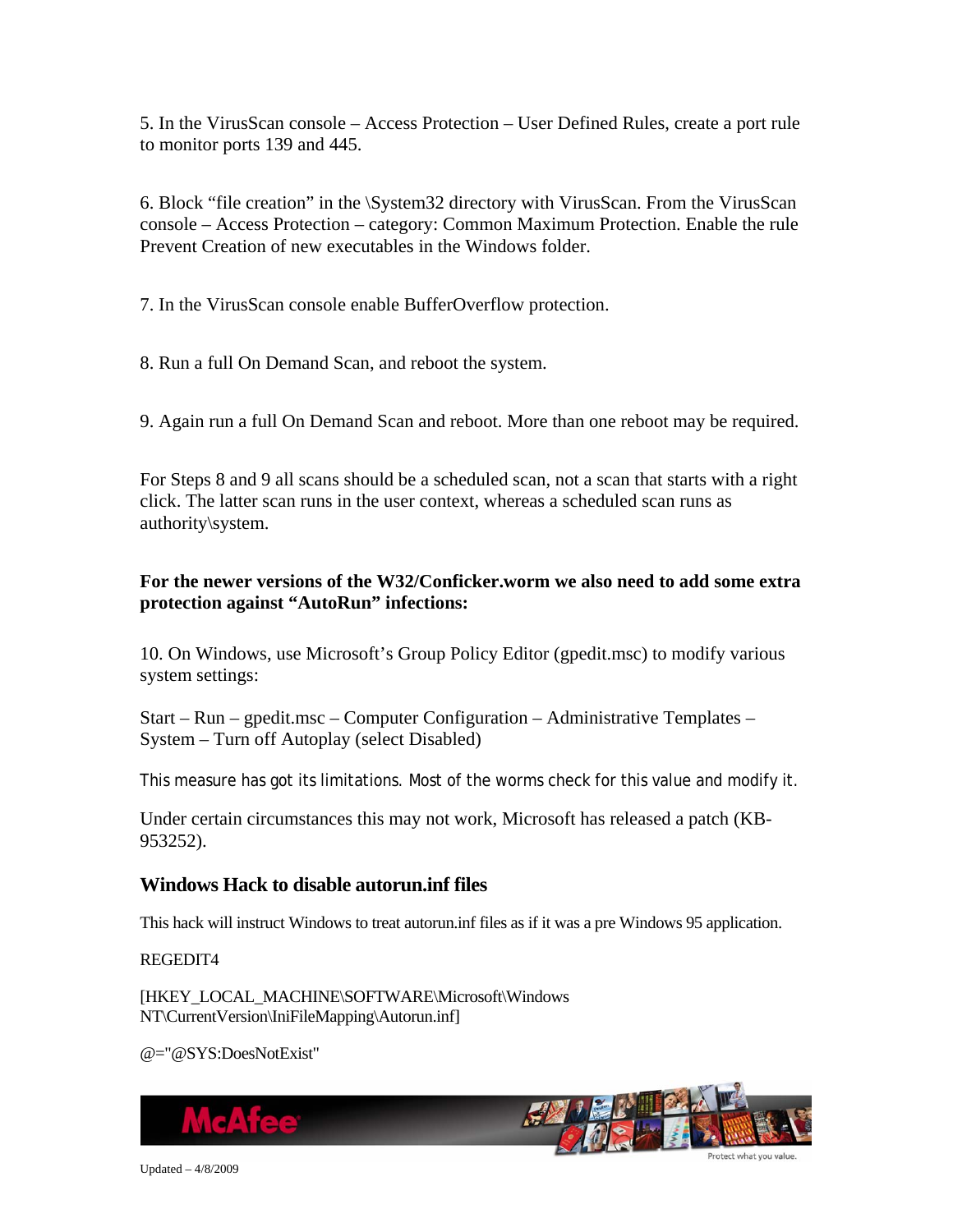5. In the VirusScan console – Access Protection – User Defined Rules, create a port rule to monitor ports 139 and 445.

6. Block "file creation" in the \System32 directory with VirusScan. From the VirusScan console – Access Protection – category: Common Maximum Protection. Enable the rule Prevent Creation of new executables in the Windows folder.

7. In the VirusScan console enable BufferOverflow protection.

8. Run a full On Demand Scan, and reboot the system.

9. Again run a full On Demand Scan and reboot. More than one reboot may be required.

For Steps 8 and 9 all scans should be a scheduled scan, not a scan that starts with a right click. The latter scan runs in the user context, whereas a scheduled scan runs as authority\system.

#### **For the newer versions of the W32/Conficker.worm we also need to add some extra protection against "AutoRun" infections:**

10. On Windows, use Microsoft's Group Policy Editor (gpedit.msc) to modify various system settings:

Start – Run – gpedit.msc – Computer Configuration – Administrative Templates – System – Turn off Autoplay (select Disabled)

This measure has got its limitations. Most of the worms check for this value and modify it.

Under certain circumstances this may not work, Microsoft has released a patch (KB-953252).

#### **Windows Hack to disable autorun.inf files**

This hack will instruct Windows to treat autorun.inf files as if it was a pre Windows 95 application.

REGEDIT4

[HKEY\_LOCAL\_MACHINE\SOFTWARE\Microsoft\Windows NT\CurrentVersion\IniFileMapping\Autorun.inf]

@="@SYS:DoesNotExist"

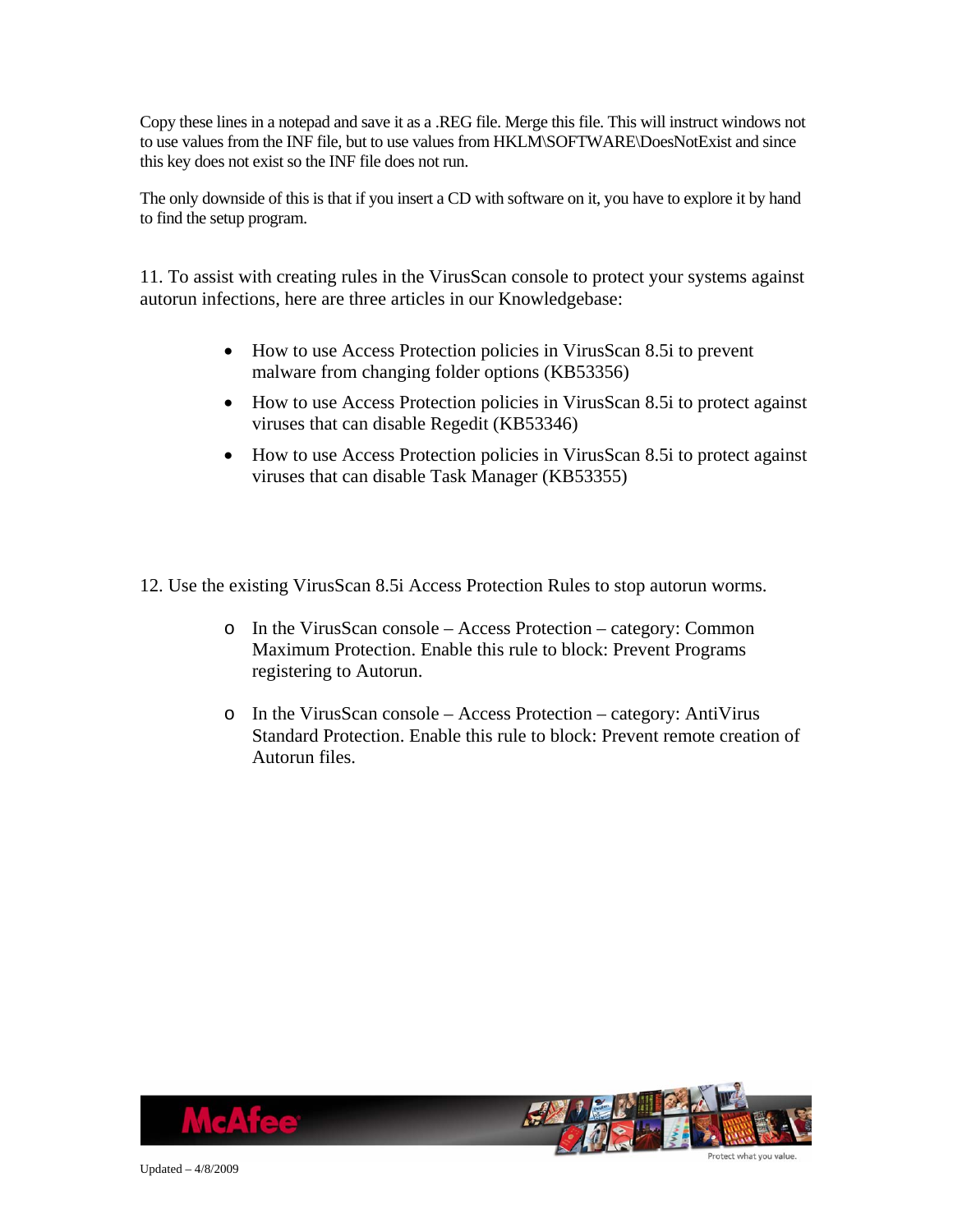Copy these lines in a notepad and save it as a .REG file. Merge this file. This will instruct windows not to use values from the INF file, but to use values from HKLM\SOFTWARE\DoesNotExist and since this key does not exist so the INF file does not run.

The only downside of this is that if you insert a CD with software on it, you have to explore it by hand to find the setup program.

11. To assist with creating rules in the VirusScan console to protect your systems against autorun infections, here are three articles in our Knowledgebase:

- How to use Access Protection policies in VirusScan 8.5 to prevent malware from changing folder options (KB53356)
- How to use Access Protection policies in VirusScan 8.5i to protect against viruses that can disable Regedit (KB53346)
- How to use Access Protection policies in VirusScan 8.5i to protect against viruses that can disable Task Manager (KB53355)

12. Use the existing VirusScan 8.5i Access Protection Rules to stop autorun worms.

- o In the VirusScan console Access Protection category: Common Maximum Protection. Enable this rule to block: Prevent Programs registering to Autorun.
- o In the VirusScan console Access Protection category: AntiVirus Standard Protection. Enable this rule to block: Prevent remote creation of Autorun files.



Updated – 4/8/2009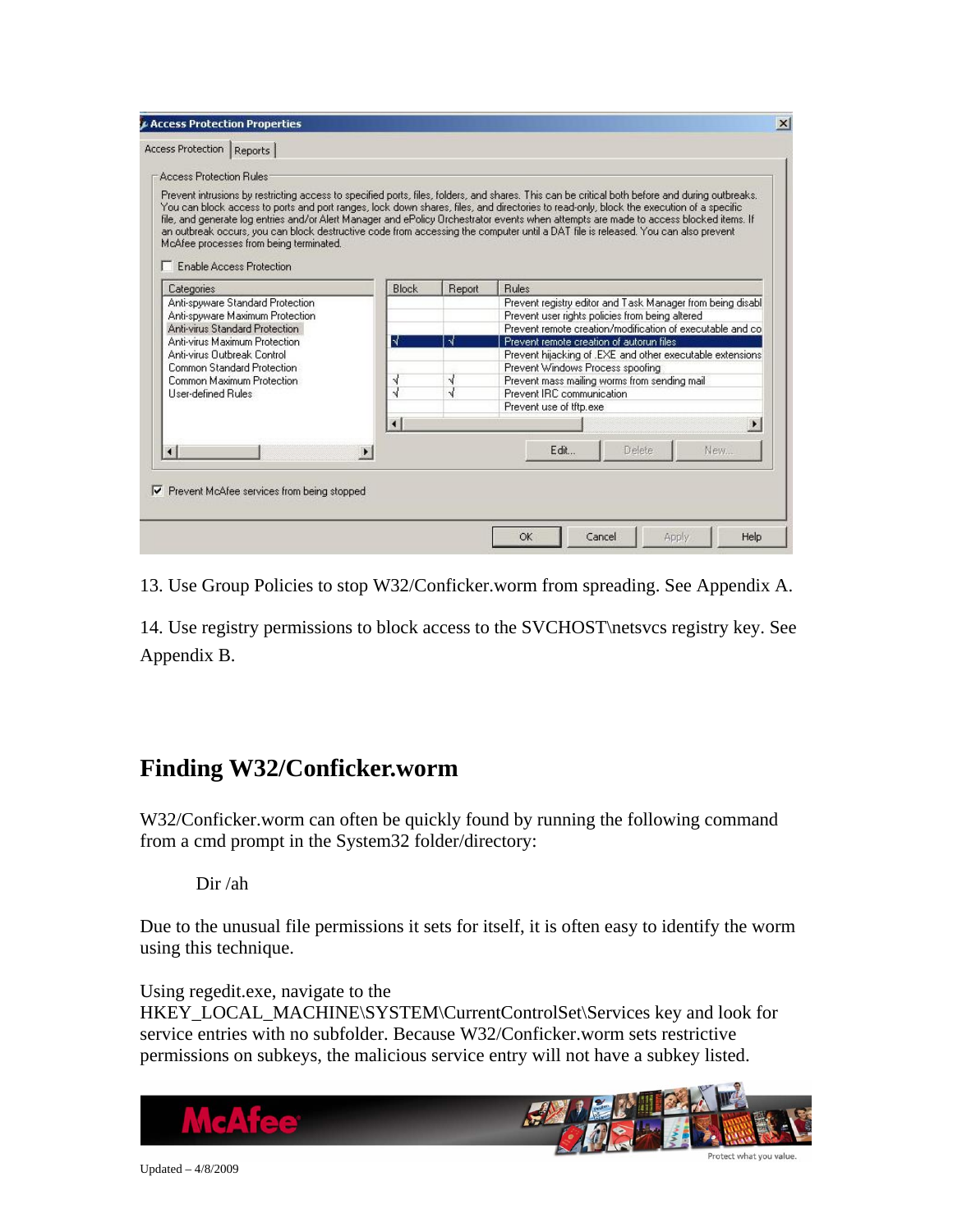<span id="page-15-0"></span>

| <b>Access Protection Bules</b><br>McAfee processes from being terminated.<br><b>Enable Access Protection</b>                                                                                                                            |                                            |               | Prevent intrusions by restricting access to specified ports, files, folders, and shares. This can be critical both before and during outbreaks.<br>You can block access to ports and port ranges, lock down shares, files, and directories to read-only, block the execution of a specific<br>file, and generate log entries and/or Alert Manager and ePolicy Orchestrator events when attempts are made to access blocked items. If<br>an outbreak occurs, you can block destructive code from accessing the computer until a DAT file is released. You can also prevent |  |  |  |  |
|-----------------------------------------------------------------------------------------------------------------------------------------------------------------------------------------------------------------------------------------|--------------------------------------------|---------------|---------------------------------------------------------------------------------------------------------------------------------------------------------------------------------------------------------------------------------------------------------------------------------------------------------------------------------------------------------------------------------------------------------------------------------------------------------------------------------------------------------------------------------------------------------------------------|--|--|--|--|
| Categories                                                                                                                                                                                                                              | Block                                      | Report        | <b>Rules</b>                                                                                                                                                                                                                                                                                                                                                                                                                                                                                                                                                              |  |  |  |  |
| Anti-spyware Standard Protection<br>Anti-spyware Maximum Protection<br><b>Anti-virus Standard Protection</b><br>Anti-virus Maximum Protection<br>Anti-virus Outbreak Control<br>Common Standard Protection<br>Common Maximum Protection | N<br>Ν<br>J                                | 5ſ.<br>√<br>√ | Prevent registry editor and Task Manager from being disabl<br>Prevent user rights policies from being altered<br>Prevent remote creation/modification of executable and co<br>Prevent remote creation of autorun files<br>Prevent hijacking of .EXE and other executable extensions<br>Prevent Windows Process spoofing<br>Prevent mass mailing worms from sending mail<br>Prevent IRC communication                                                                                                                                                                      |  |  |  |  |
| <b>User-defined Rules</b>                                                                                                                                                                                                               |                                            |               | Prevent use of tftp.exe                                                                                                                                                                                                                                                                                                                                                                                                                                                                                                                                                   |  |  |  |  |
|                                                                                                                                                                                                                                         | $\lvert$                                   |               | Edit<br><b>Delete</b><br>New                                                                                                                                                                                                                                                                                                                                                                                                                                                                                                                                              |  |  |  |  |
|                                                                                                                                                                                                                                         | Prevent McAfee services from being stopped |               |                                                                                                                                                                                                                                                                                                                                                                                                                                                                                                                                                                           |  |  |  |  |

13. Use Group Policies to stop W32/Conficker.worm from spreading. See Appendix A.

14. Use registry permissions to block access to the SVCHOST\netsvcs registry key. See Appendix B.

### **Finding W32/Conficker.worm**

W32/Conficker.worm can often be quickly found by running the following command from a cmd prompt in the System32 folder/directory:

Dir /ah

Due to the unusual file permissions it sets for itself, it is often easy to identify the worm using this technique.

Using regedit.exe, navigate to the HKEY\_LOCAL\_MACHINE\SYSTEM\CurrentControlSet\Services key and look for service entries with no subfolder. Because W32/Conficker.worm sets restrictive permissions on subkeys, the malicious service entry will not have a subkey listed.

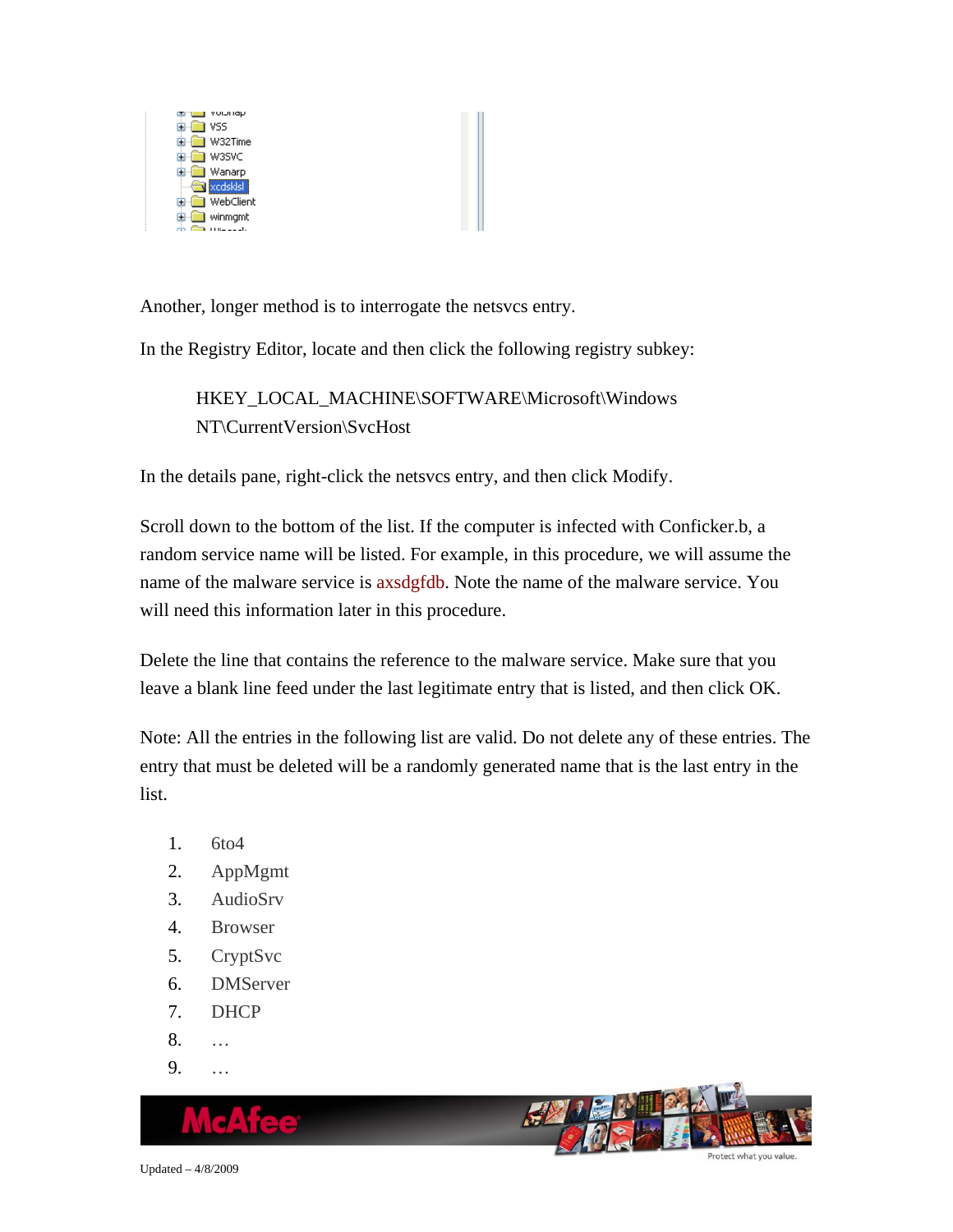

Another, longer method is to interrogate the netsvcs entry.

In the Registry Editor, locate and then click the following registry subkey:

HKEY\_LOCAL\_MACHINE\SOFTWARE\Microsoft\Windows NT\CurrentVersion\SvcHost

In the details pane, right-click the netsvcs entry, and then click Modify.

Scroll down to the bottom of the list. If the computer is infected with Conficker.b, a random service name will be listed. For example, in this procedure, we will assume the name of the malware service is axsdgfdb. Note the name of the malware service. You will need this information later in this procedure.

Delete the line that contains the reference to the malware service. Make sure that you leave a blank line feed under the last legitimate entry that is listed, and then click OK.

Note: All the entries in the following list are valid. Do not delete any of these entries. The entry that must be deleted will be a randomly generated name that is the last entry in the list.

- 1. 6to4
- 2. AppMgmt
- 3. AudioSrv
- 4. Browser
- 5. CryptSvc
- 6. DMServer
- 7. DHCP
- 8. …
- 9. …

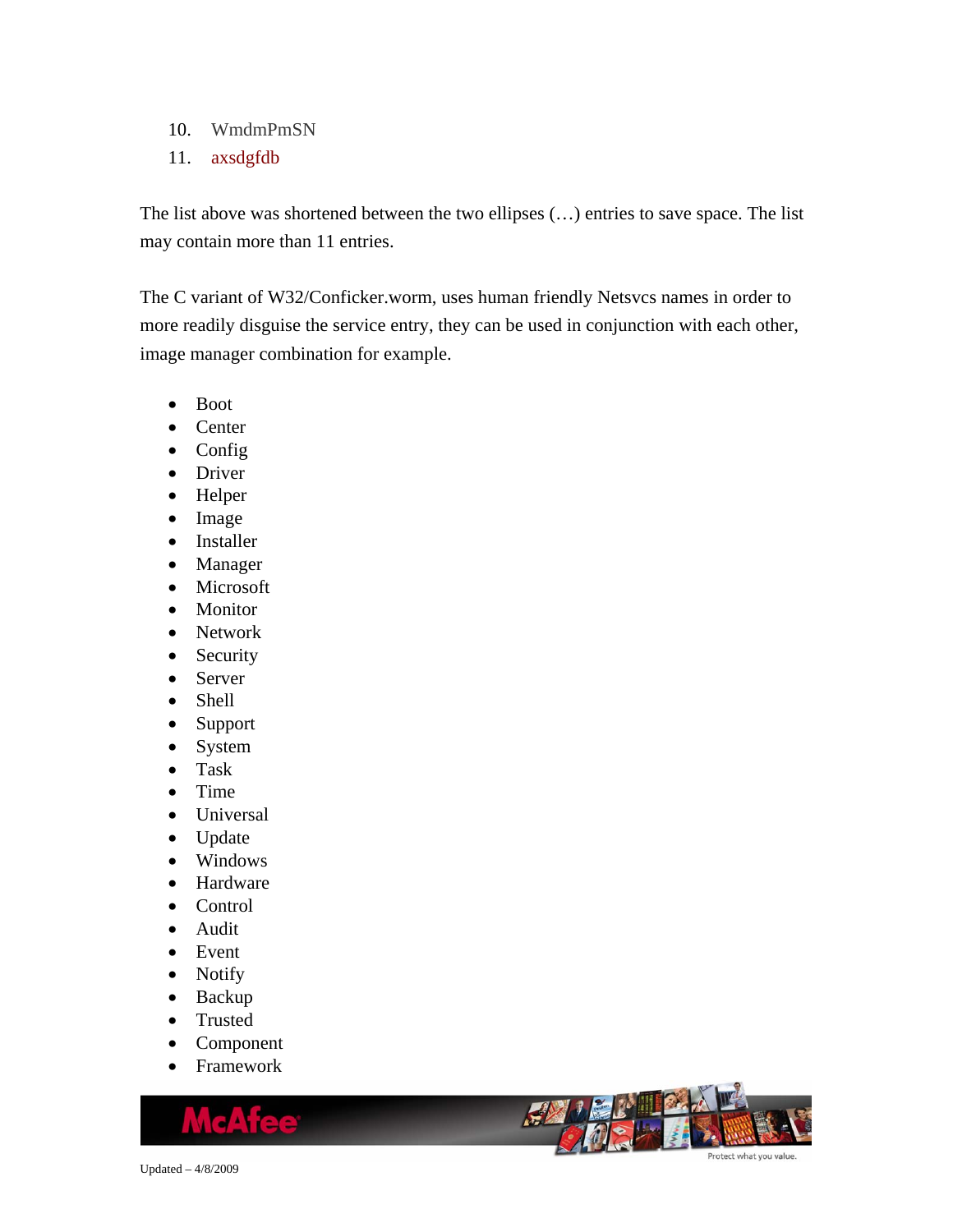- 10. WmdmPmSN
- 11. axsdgfdb

The list above was shortened between the two ellipses (…) entries to save space. The list may contain more than 11 entries.

The C variant of W32/Conficker.worm, uses human friendly Netsvcs names in order to more readily disguise the service entry, they can be used in conjunction with each other, image manager combination for example.

- Boot
- Center
- Config
- Driver
- Helper
- Image
- Installer
- Manager
- Microsoft
- Monitor
- Network
- Security
- Server
- Shell
- Support
- System
- Task
- Time
- Universal
- Update
- Windows
- Hardware
- Control
- Audit
- Event
- Notify
- Backup
- Trusted
- Component
- Framework

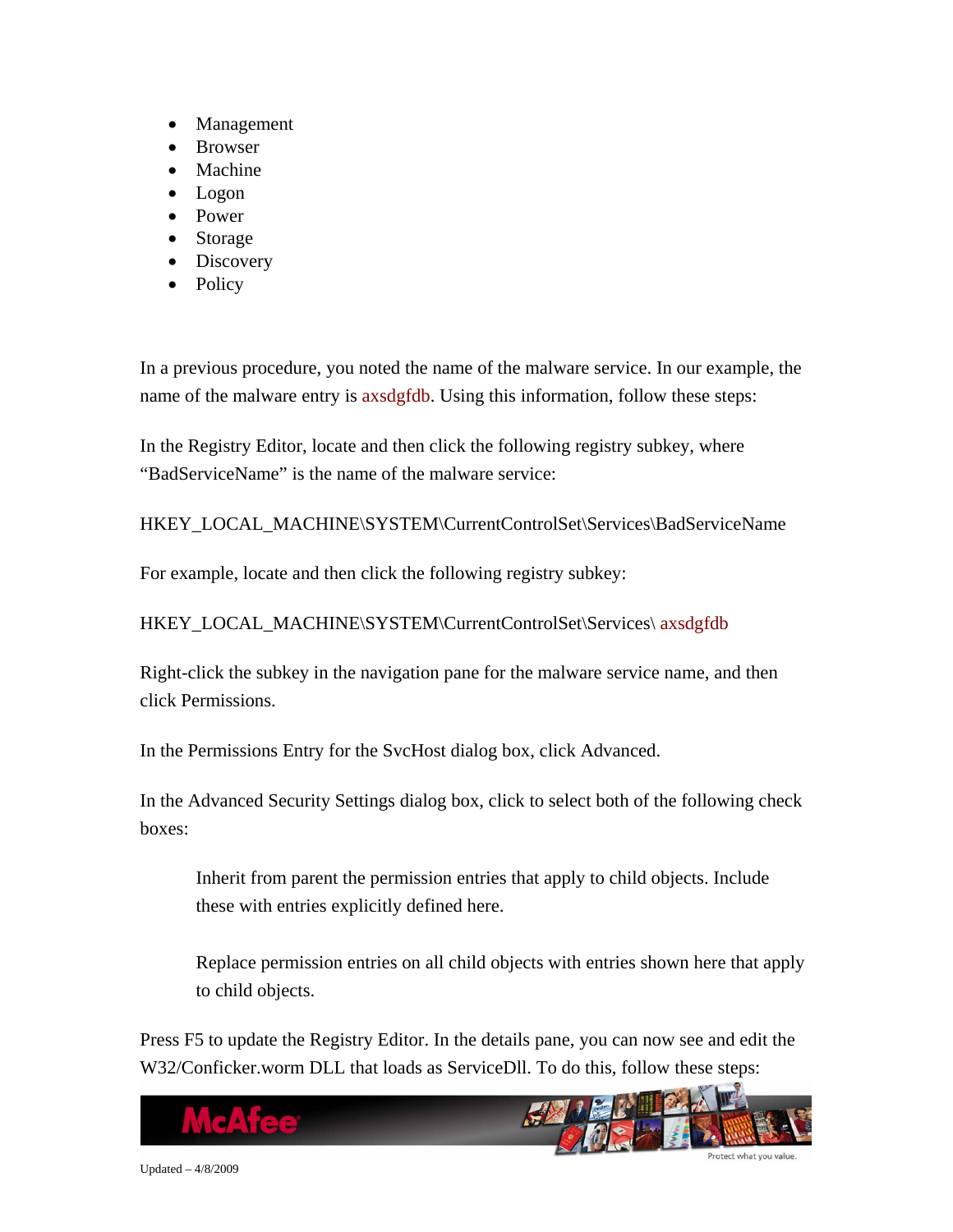- Management
- Browser
- Machine
- Logon
- Power
- Storage
- Discovery
- Policy

In a previous procedure, you noted the name of the malware service. In our example, the name of the malware entry is axsdgfdb. Using this information, follow these steps:

In the Registry Editor, locate and then click the following registry subkey, where "BadServiceName" is the name of the malware service:

HKEY\_LOCAL\_MACHINE\SYSTEM\CurrentControlSet\Services\BadServiceName

For example, locate and then click the following registry subkey:

HKEY\_LOCAL\_MACHINE\SYSTEM\CurrentControlSet\Services\ axsdgfdb

Right-click the subkey in the navigation pane for the malware service name, and then click Permissions.

In the Permissions Entry for the SvcHost dialog box, click Advanced.

In the Advanced Security Settings dialog box, click to select both of the following check boxes:

Inherit from parent the permission entries that apply to child objects. Include these with entries explicitly defined here.

Replace permission entries on all child objects with entries shown here that apply to child objects.

Press F5 to update the Registry Editor. In the details pane, you can now see and edit the W32/Conficker.worm DLL that loads as ServiceDll. To do this, follow these steps:

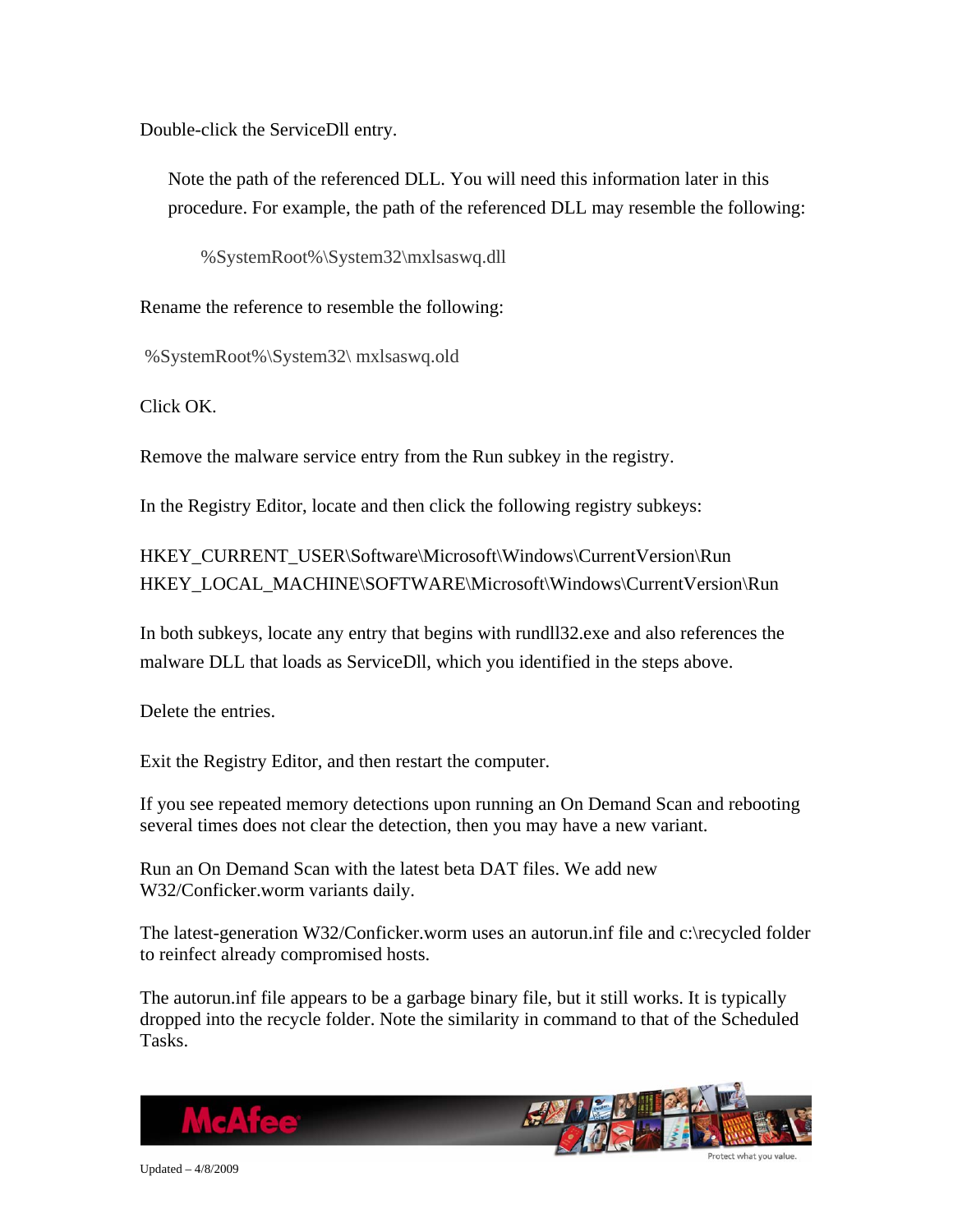Double-click the ServiceDll entry.

Note the path of the referenced DLL. You will need this information later in this procedure. For example, the path of the referenced DLL may resemble the following:

%SystemRoot%\System32\mxlsaswq.dll

Rename the reference to resemble the following:

%SystemRoot%\System32\ mxlsaswq.old

Click OK.

Remove the malware service entry from the Run subkey in the registry.

In the Registry Editor, locate and then click the following registry subkeys:

HKEY\_CURRENT\_USER\Software\Microsoft\Windows\CurrentVersion\Run HKEY\_LOCAL\_MACHINE\SOFTWARE\Microsoft\Windows\CurrentVersion\Run

In both subkeys, locate any entry that begins with rundll32.exe and also references the malware DLL that loads as ServiceDll, which you identified in the steps above.

Delete the entries.

Exit the Registry Editor, and then restart the computer.

If you see repeated memory detections upon running an On Demand Scan and rebooting several times does not clear the detection, then you may have a new variant.

Run an On Demand Scan with the latest beta DAT files. We add new W32/Conficker.worm variants daily.

The latest-generation W32/Conficker.worm uses an autorun.inf file and c:\recycled folder to reinfect already compromised hosts.

The autorun.inf file appears to be a garbage binary file, but it still works. It is typically dropped into the recycle folder. Note the similarity in command to that of the Scheduled Tasks.

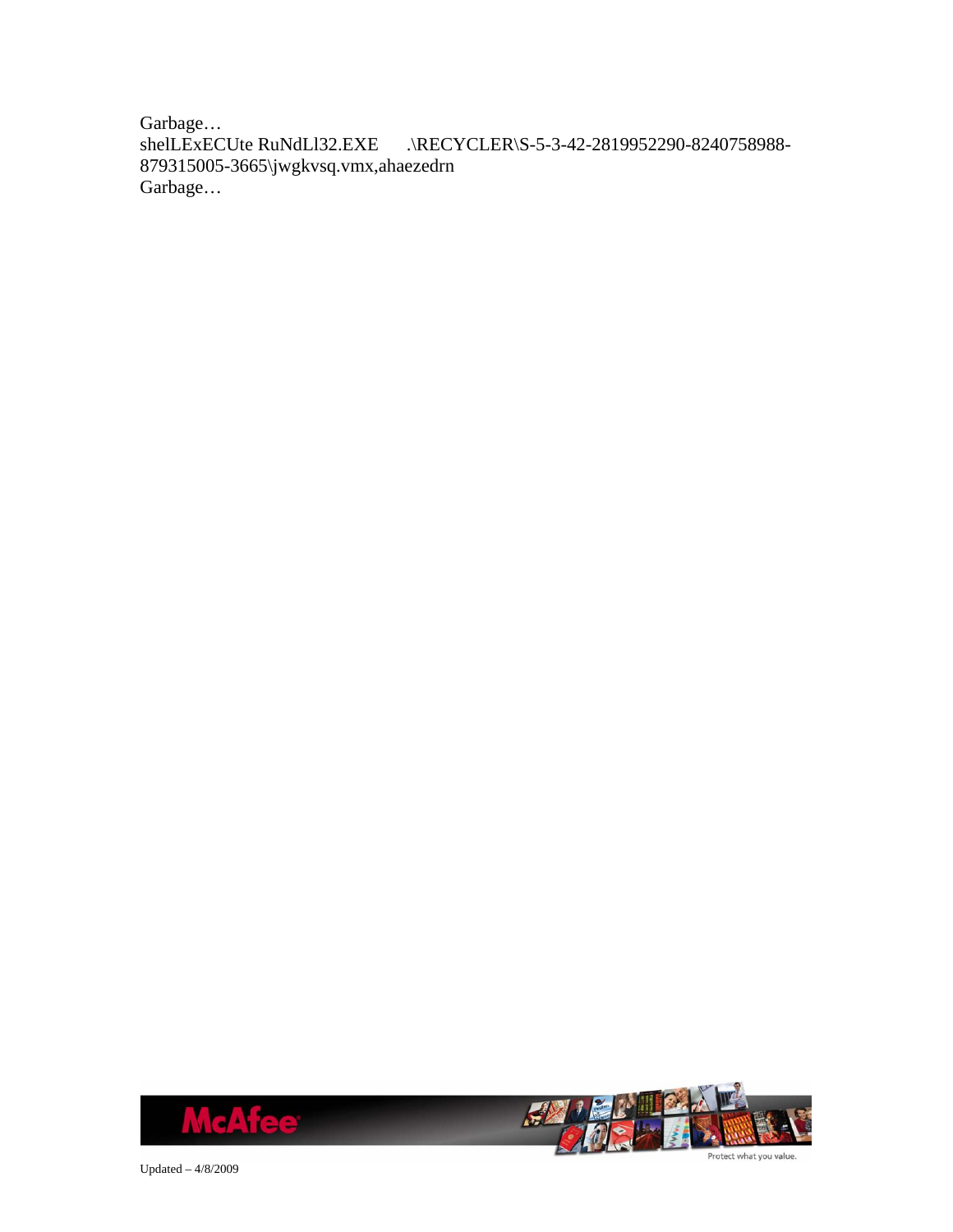Garbage… shelLExECUte RuNdLl32.EXE .\RECYCLER\S-5-3-42-2819952290-8240758988- 879315005-3665\jwgkvsq.vmx,ahaezedrn Garbage…



Updated – 4/8/2009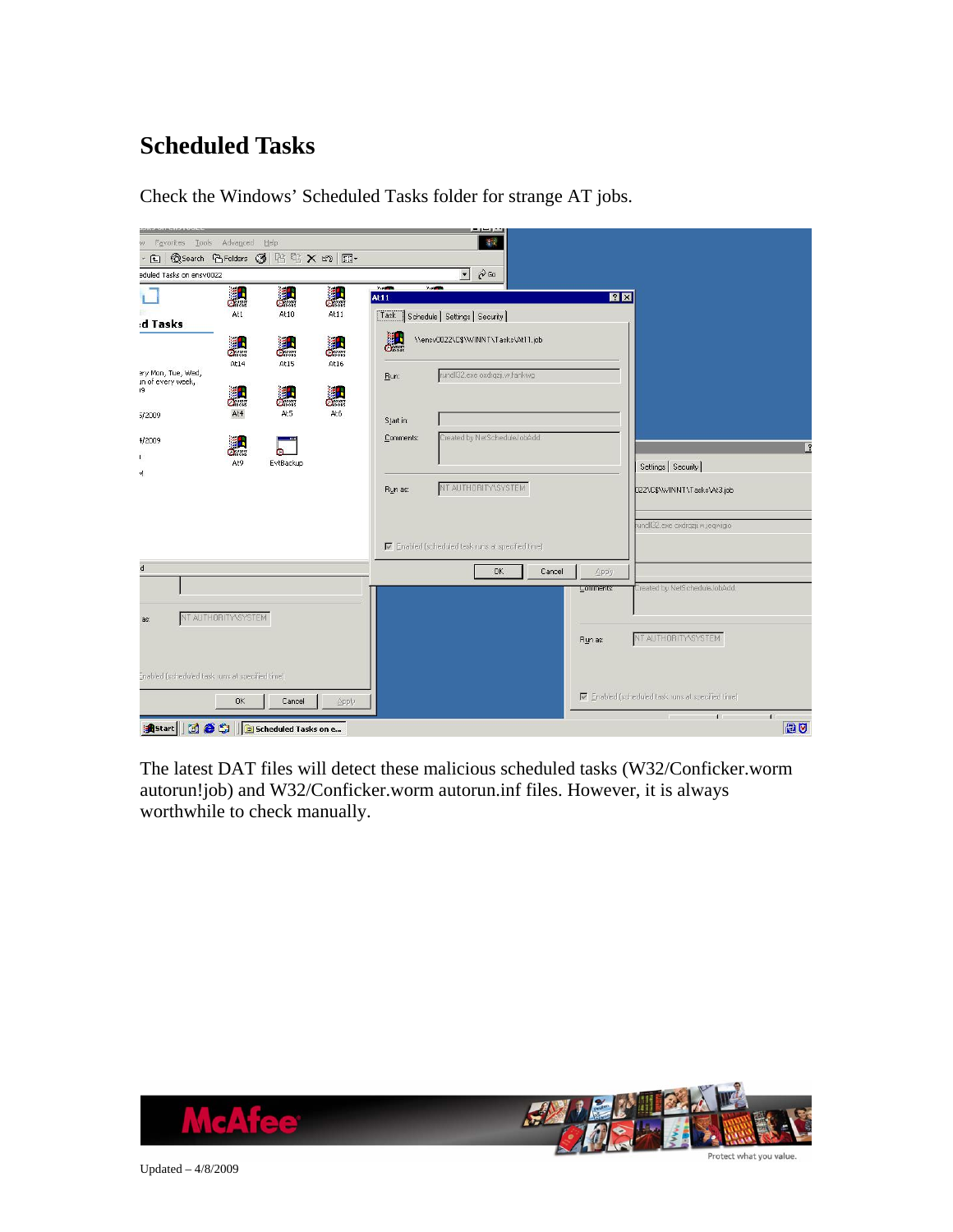## <span id="page-21-0"></span>**Scheduled Tasks**

|                                                 |                                |                      |            |                       | <b>County County of the</b>                     |           |        |           |                                                 |
|-------------------------------------------------|--------------------------------|----------------------|------------|-----------------------|-------------------------------------------------|-----------|--------|-----------|-------------------------------------------------|
| Favorites Tools Advanced Help<br>W.             |                                |                      |            |                       |                                                 | <b>AR</b> |        |           |                                                 |
| 囿                                               | © Search G Folders ③ P B X m 图 |                      |            |                       |                                                 |           |        |           |                                                 |
| eduled Tasks on ensv0022                        |                                |                      |            |                       | $\phi$ Go<br>$\blacktriangledown$               |           |        |           |                                                 |
|                                                 | 縄                              | 川                    | 料          | $\sim$<br><b>At11</b> | 200                                             |           |        | 7x        |                                                 |
| d Tasks                                         | At1                            | At10                 | At11       |                       | Task Schedule Settings Security                 |           |        |           |                                                 |
|                                                 | 黜<br>At14                      | 濎                    | 料          | äH                    | \\ensv0022\C\$\WINNT\Tasks\At11.job             |           |        |           |                                                 |
| ery Mon, Tue, Wed,<br>in of every week,<br>19   | äh                             | At15<br>魏            | At16<br>ä. | <b>Bun:</b>           | rundll32.exe oxdrqzji.w.fankwg                  |           |        |           |                                                 |
| 5/2009                                          | At4                            | At5                  | At6        | Start in:             |                                                 |           |        |           |                                                 |
| 1/2009                                          | 鼺<br>At9                       | m.<br>EvtBackup      |            | Comments:             | Created by NetScheduleJobAdd.                   |           |        |           | $\overline{2}$                                  |
| 4                                               |                                |                      |            |                       |                                                 |           |        |           | Settings   Security                             |
|                                                 |                                |                      |            | Run as:               | NT AUTHORITY\SYSTEM                             |           |        |           | D22\C\$\\WINNT\Tasks\At3.job                    |
|                                                 |                                |                      |            |                       |                                                 |           |        |           | rundll32.exe oxdrqzji.w.jegwigio                |
|                                                 |                                |                      |            |                       | Enabled (scheduled task runs at specified time) |           |        |           |                                                 |
| d                                               |                                |                      |            |                       |                                                 | <b>OK</b> | Cancel | Apply     |                                                 |
|                                                 |                                |                      |            |                       |                                                 |           |        | Lomments: | Created by NetScheduleJobAdd.                   |
| as:                                             | NT AUTHORITY\SYSTEM            |                      |            |                       |                                                 |           |        | Run as:   | NT AUTHORITY\SYSTEM                             |
| Enabled (scheduled task runs at specified time) |                                |                      |            |                       |                                                 |           |        |           |                                                 |
|                                                 | <b>OK</b>                      | Cancel               | Apply      |                       |                                                 |           |        |           | Enabled (scheduled task runs at specified time) |
| <b>B</b> Start                                  | des                            | Scheduled Tasks on e |            |                       |                                                 |           |        |           | $\mathbf{1}$<br>$\mathbf{I}$<br><b>DU</b>       |

Check the Windows' Scheduled Tasks folder for strange AT jobs.

The latest DAT files will detect these malicious scheduled tasks (W32/Conficker.worm autorun!job) and W32/Conficker.worm autorun.inf files. However, it is always worthwhile to check manually.

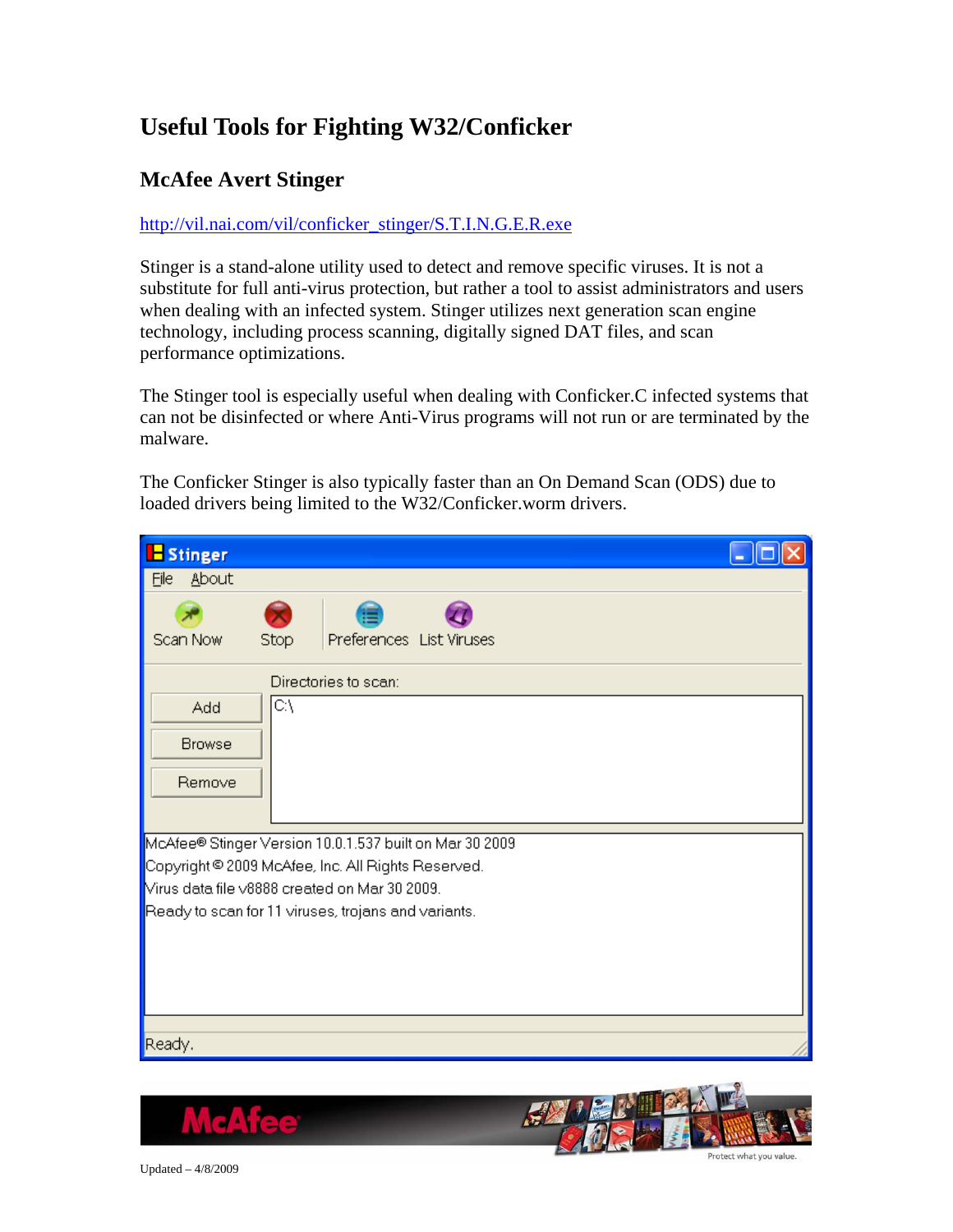## <span id="page-22-0"></span>**Useful Tools for Fighting W32/Conficker**

### **McAfee Avert Stinger**

#### [http://vil.nai.com/vil/conficker\\_stinger/S.T.I.N.G.E.R.exe](http://vil.nai.com/vil/conficker_stinger/S.T.I.N.G.E.R.exe)

Stinger is a stand-alone utility used to detect and remove specific viruses. It is not a substitute for full anti-virus protection, but rather a tool to assist administrators and users when dealing with an infected system. Stinger utilizes next generation scan engine technology, including process scanning, digitally signed DAT files, and scan performance optimizations.

The Stinger tool is especially useful when dealing with Conficker.C infected systems that can not be disinfected or where Anti-Virus programs will not run or are terminated by the malware.

The Conficker Stinger is also typically faster than an On Demand Scan (ODS) due to loaded drivers being limited to the W32/Conficker.worm drivers.

| <b>E</b> Stinger                                                                                    |  |
|-----------------------------------------------------------------------------------------------------|--|
| <b>About</b><br>Eile                                                                                |  |
| Scan Now<br>Preferences List Viruses<br>Stop                                                        |  |
| Directories to scan:                                                                                |  |
| CΛ<br>Add                                                                                           |  |
| <b>Browse</b>                                                                                       |  |
| Remove                                                                                              |  |
|                                                                                                     |  |
| McAfee® Stinger Version 10.0.1.537 built on Mar 30 2009                                             |  |
| Copyright © 2009 McAfee, Inc. All Rights Reserved.<br>Virus data file v8888 created on Mar 30 2009. |  |
| Ready to scan for 11 viruses, trojans and variants.                                                 |  |
|                                                                                                     |  |
|                                                                                                     |  |
|                                                                                                     |  |
|                                                                                                     |  |
| Ready.                                                                                              |  |

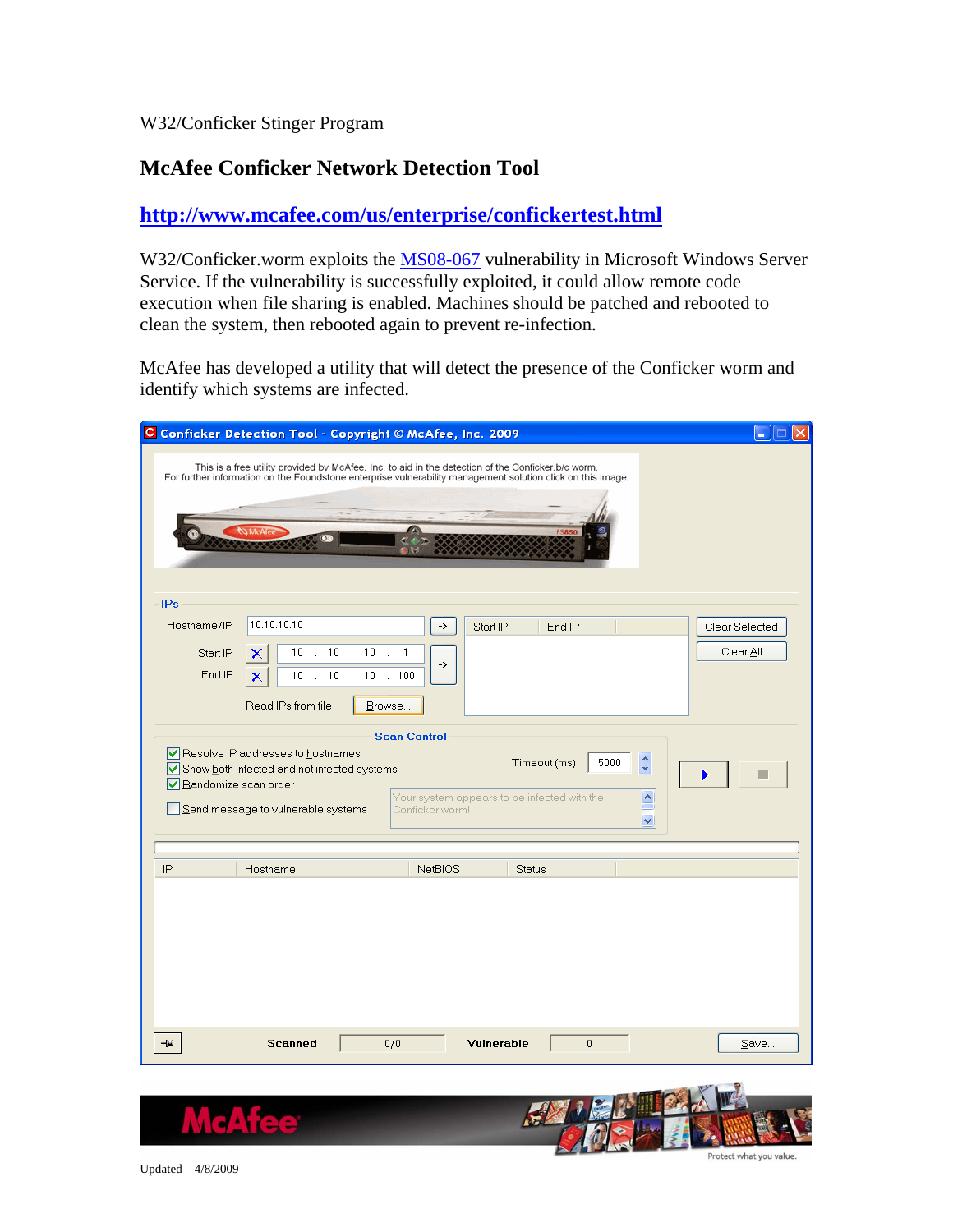#### W32/Conficker Stinger Program

#### **McAfee Conficker Network Detection Tool**

#### **<http://www.mcafee.com/us/enterprise/confickertest.html>**

W32/Conficker.worm exploits the [MS08-067](http://vil.nai.com/vil/content/v_vul40728.htm) vulnerability in Microsoft Windows Server Service. If the vulnerability is successfully exploited, it could allow remote code execution when file sharing is enabled. Machines should be patched and rebooted to clean the system, then rebooted again to prevent re-infection.

McAfee has developed a utility that will detect the presence of the Conficker worm and identify which systems are infected.

| C Conficker Detection Tool - Copyright © McAfee, Inc. 2009                                                                                                                                                                                                                                           |                                                                                                                         |               |        |  |                             |  |  |  |
|------------------------------------------------------------------------------------------------------------------------------------------------------------------------------------------------------------------------------------------------------------------------------------------------------|-------------------------------------------------------------------------------------------------------------------------|---------------|--------|--|-----------------------------|--|--|--|
| This is a free utility provided by McAfee, Inc. to aid in the detection of the Conficker.b/c worm.<br>For further information on the Foundstone enterprise vulnerability management solution click on this image.                                                                                    |                                                                                                                         |               |        |  |                             |  |  |  |
| <b>Co McAf</b>                                                                                                                                                                                                                                                                                       |                                                                                                                         |               |        |  |                             |  |  |  |
| <b>IPs</b>                                                                                                                                                                                                                                                                                           |                                                                                                                         |               |        |  |                             |  |  |  |
| 10.10.10.10<br>Hostname/IP<br>$\therefore$ 10<br>10 <sub>1</sub><br>Start IP<br>End IP<br>10<br>×<br>$\mathbb{R}^2$<br>Read IPs from file                                                                                                                                                            | $\rightarrow$<br>$\therefore$ 10<br>$\mathbf{1}$<br>$\mathcal{L}$<br>-><br>10<br>10<br>. 100<br>$\mathcal{L}$<br>Browse | Start IP      | End IP |  | Clear Selected<br>Clear All |  |  |  |
| <b>Scan Control</b><br>Resolve IP addresses to hostnames<br>$\hat{\cdot}$<br>Timeout (ms)<br>5000<br>Show both infected and not infected systems<br>Randomize scan order<br>Your system appears to be infected with the<br>$\triangle$<br>Send message to vulnerable systems<br>Conficker worm!<br>v |                                                                                                                         |               |        |  |                             |  |  |  |
| IP<br>Hostname                                                                                                                                                                                                                                                                                       | <b>NetBIOS</b>                                                                                                          | <b>Status</b> |        |  |                             |  |  |  |
|                                                                                                                                                                                                                                                                                                      |                                                                                                                         |               |        |  |                             |  |  |  |
| <b>Scanned</b><br>-121                                                                                                                                                                                                                                                                               | 0/0                                                                                                                     | Vulnerable    | 0      |  | $S$ ave                     |  |  |  |



Updated – 4/8/2009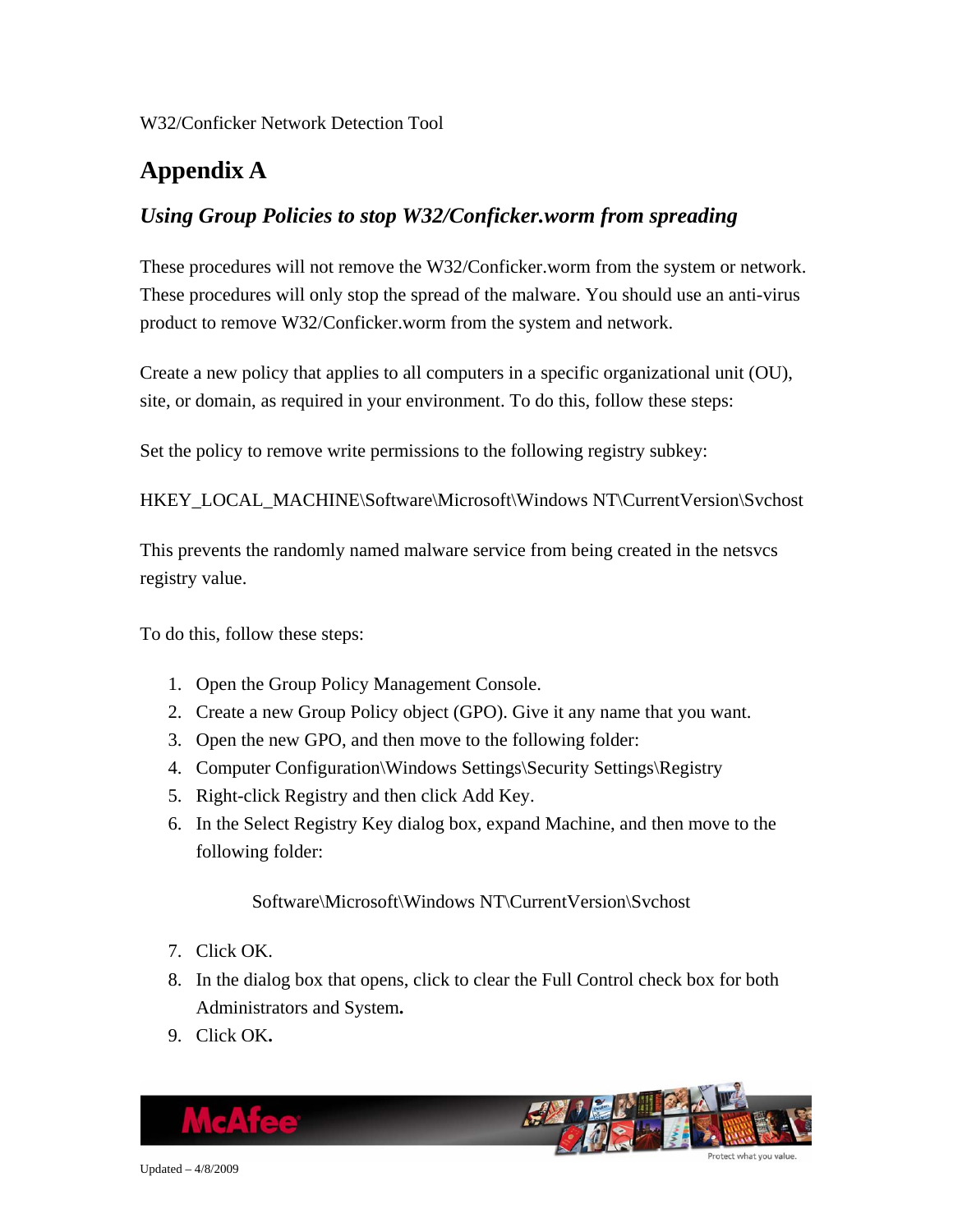## <span id="page-24-0"></span>**Appendix A**

### *Using Group Policies to stop W32/Conficker.worm from spreading*

These procedures will not remove the W32/Conficker.worm from the system or network. These procedures will only stop the spread of the malware. You should use an anti-virus product to remove W32/Conficker.worm from the system and network.

Create a new policy that applies to all computers in a specific organizational unit (OU), site, or domain, as required in your environment. To do this, follow these steps:

Set the policy to remove write permissions to the following registry subkey:

HKEY\_LOCAL\_MACHINE\Software\Microsoft\Windows NT\CurrentVersion\Svchost

This prevents the randomly named malware service from being created in the netsvcs registry value.

To do this, follow these steps:

- 1. Open the Group Policy Management Console.
- 2. Create a new Group Policy object (GPO). Give it any name that you want.
- 3. Open the new GPO, and then move to the following folder:
- 4. Computer Configuration\Windows Settings\Security Settings\Registry
- 5. Right-click Registry and then click Add Key.
- 6. In the Select Registry Key dialog box, expand Machine, and then move to the following folder:

Software\Microsoft\Windows NT\CurrentVersion\Svchost

- 7. Click OK.
- 8. In the dialog box that opens, click to clear the Full Control check box for both Administrators and System**.**
- 9. Click OK**.**

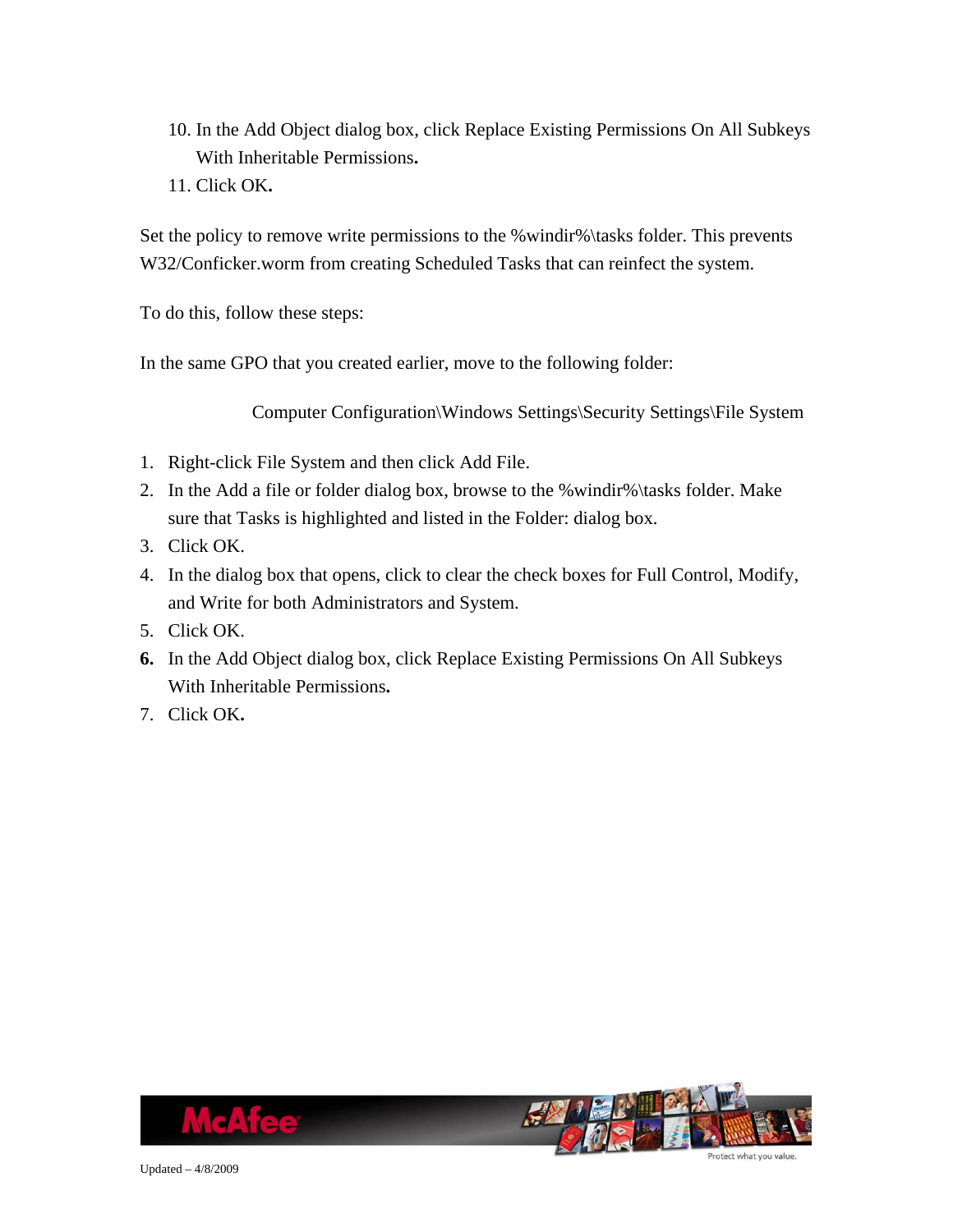- 10. In the Add Object dialog box, click Replace Existing Permissions On All Subkeys With Inheritable Permissions**.**
- 11. Click OK**.**

Set the policy to remove write permissions to the %windir%\tasks folder. This prevents W32/Conficker.worm from creating Scheduled Tasks that can reinfect the system.

To do this, follow these steps:

In the same GPO that you created earlier, move to the following folder:

Computer Configuration\Windows Settings\Security Settings\File System

- 1. Right-click File System and then click Add File.
- 2. In the Add a file or folder dialog box, browse to the %windir%\tasks folder. Make sure that Tasks is highlighted and listed in the Folder: dialog box.
- 3. Click OK.
- 4. In the dialog box that opens, click to clear the check boxes for Full Control, Modify, and Write for both Administrators and System.
- 5. Click OK.
- **6.** In the Add Object dialog box, click Replace Existing Permissions On All Subkeys With Inheritable Permissions**.**
- 7. Click OK**.**



Updated – 4/8/2009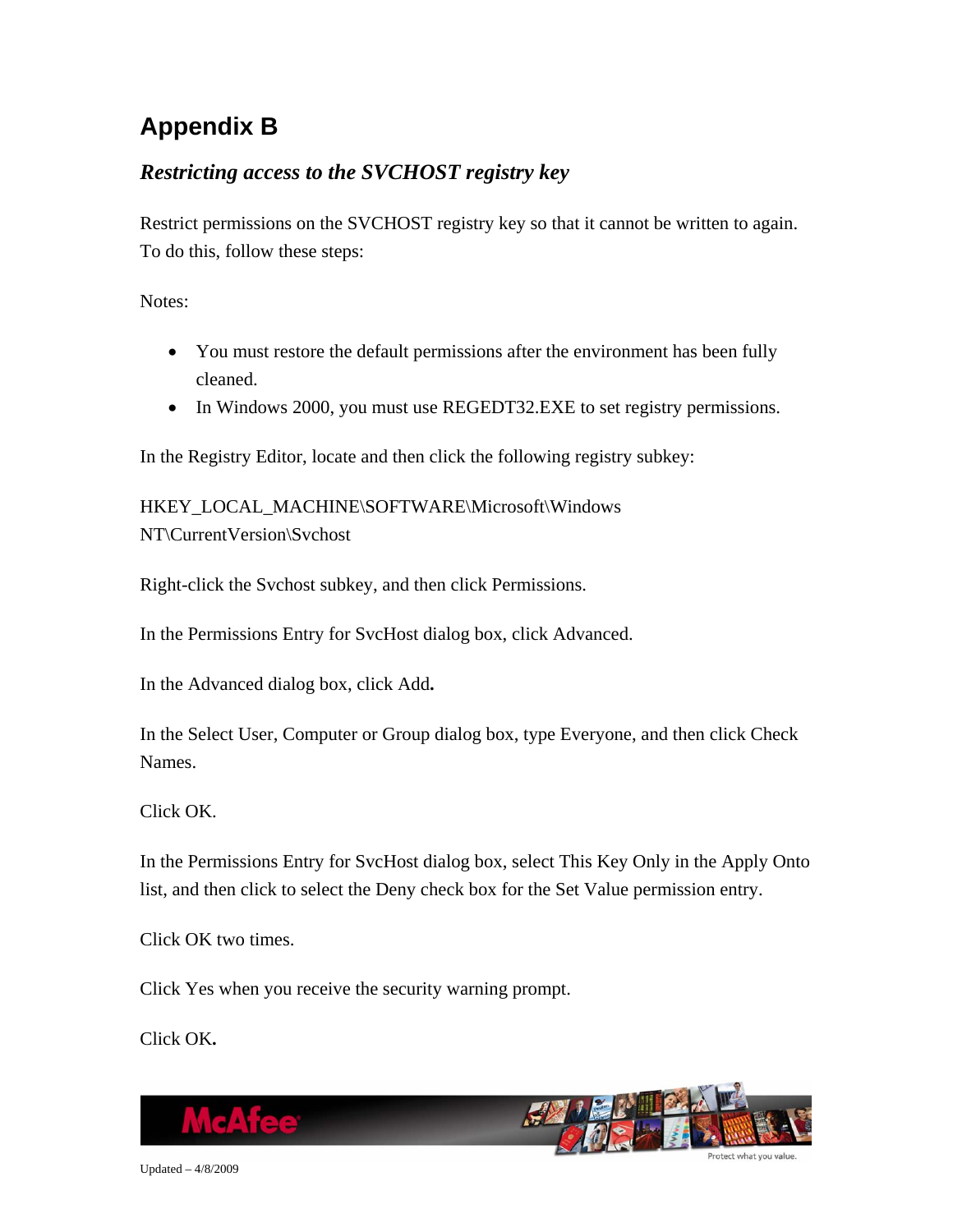# <span id="page-26-0"></span>**Appendix B**

### *Restricting access to the SVCHOST registry key*

Restrict permissions on the SVCHOST registry key so that it cannot be written to again. To do this, follow these steps:

Notes:

- You must restore the default permissions after the environment has been fully cleaned.
- In Windows 2000, you must use REGEDT32.EXE to set registry permissions.

In the Registry Editor, locate and then click the following registry subkey:

HKEY\_LOCAL\_MACHINE\SOFTWARE\Microsoft\Windows NT\CurrentVersion\Svchost

Right-click the Svchost subkey, and then click Permissions.

In the Permissions Entry for SvcHost dialog box, click Advanced.

In the Advanced dialog box, click Add**.**

In the Select User, Computer or Group dialog box, type Everyone, and then click Check Names.

Click OK.

In the Permissions Entry for SvcHost dialog box, select This Key Only in the Apply Onto list, and then click to select the Deny check box for the Set Value permission entry.

Click OK two times.

Click Yes when you receive the security warning prompt.

Click OK**.**

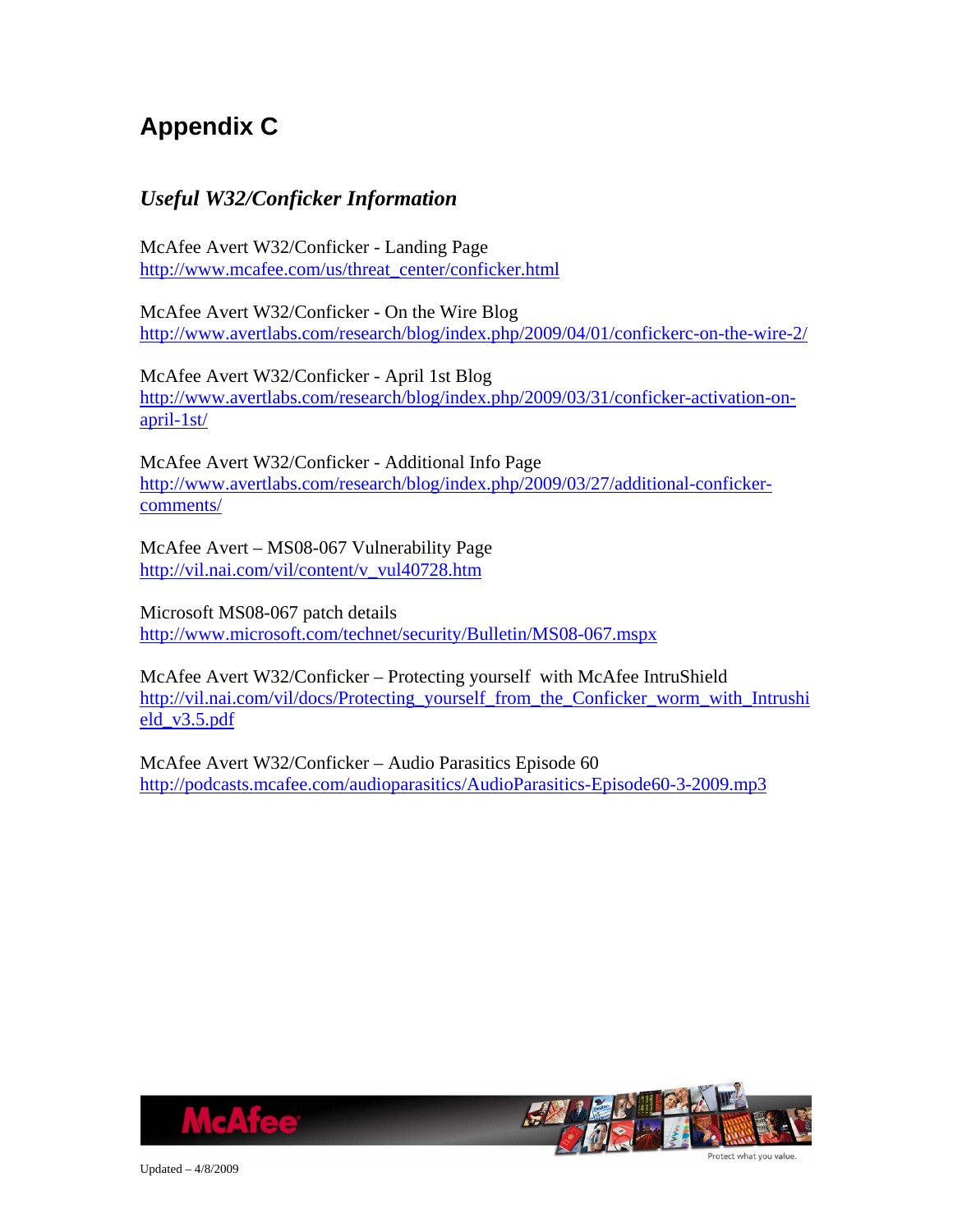# <span id="page-27-0"></span>**Appendix C**

### *Useful W32/Conficker Information*

McAfee Avert W32/Conficker - Landing Page [http://www.mcafee.com/us/threat\\_center/conficker.html](http://www.mcafee.com/us/threat_center/conficker.html)

McAfee Avert W32/Conficker - On the Wire Blog <http://www.avertlabs.com/research/blog/index.php/2009/04/01/confickerc-on-the-wire-2/>

McAfee Avert W32/Conficker - April 1st Blog [http://www.avertlabs.com/research/blog/index.php/2009/03/31/conficker-activation-on](http://www.avertlabs.com/research/blog/index.php/2009/03/31/conficker-activation-on-april-1st/)[april-1st/](http://www.avertlabs.com/research/blog/index.php/2009/03/31/conficker-activation-on-april-1st/)

McAfee Avert W32/Conficker - Additional Info Page [http://www.avertlabs.com/research/blog/index.php/2009/03/27/additional-conficker](http://www.avertlabs.com/research/blog/index.php/2009/03/27/additional-conficker-comments/)[comments/](http://www.avertlabs.com/research/blog/index.php/2009/03/27/additional-conficker-comments/)

McAfee Avert – MS08-067 Vulnerability Page [http://vil.nai.com/vil/content/v\\_vul40728.htm](http://vil.nai.com/vil/content/v_vul40728.htm)

Microsoft MS08-067 patch details <http://www.microsoft.com/technet/security/Bulletin/MS08-067.mspx>

McAfee Avert W32/Conficker – Protecting yourself with McAfee IntruShield [http://vil.nai.com/vil/docs/Protecting\\_yourself\\_from\\_the\\_Conficker\\_worm\\_with\\_Intrushi](http://vil.nai.com/vil/docs/Protecting_yourself_from_the_Conficker_worm_with_Intrushield_v3.5.pdf) [eld\\_v3.5.pdf](http://vil.nai.com/vil/docs/Protecting_yourself_from_the_Conficker_worm_with_Intrushield_v3.5.pdf)

McAfee Avert W32/Conficker – Audio Parasitics Episode 60 <http://podcasts.mcafee.com/audioparasitics/AudioParasitics-Episode60-3-2009.mp3>





Updated – 4/8/2009